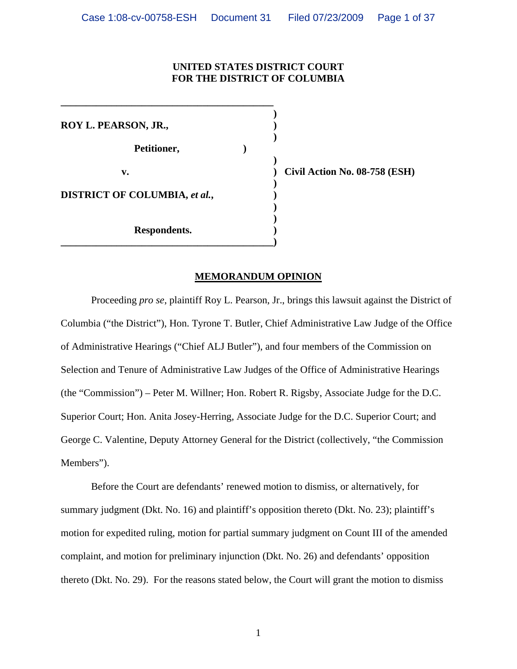## **UNITED STATES DISTRICT COURT FOR THE DISTRICT OF COLUMBIA**

**)** 

**ROY L. PEARSON, JR.,****) )**  Petitioner, 2007)  **) v. ) Civil Action No. 08-758 (ESH) ) DISTRICT OF COLUMBIA,** *et al.***,**  $\qquad \qquad$ **) ) ) Respondents. )** 

**\_\_\_\_\_\_\_\_\_\_\_\_\_\_\_\_\_\_\_\_\_\_\_\_\_\_\_\_\_\_\_\_\_\_\_\_\_\_\_\_\_\_)** 

**\_\_\_\_\_\_\_\_\_\_\_\_\_\_\_\_\_\_\_\_\_\_\_\_\_\_\_\_\_\_\_\_\_\_\_\_\_\_\_\_\_\_** 

## **MEMORANDUM OPINION**

Proceeding *pro se*, plaintiff Roy L. Pearson, Jr., brings this lawsuit against the District of Columbia ("the District"), Hon. Tyrone T. Butler, Chief Administrative Law Judge of the Office of Administrative Hearings ("Chief ALJ Butler"), and four members of the Commission on Selection and Tenure of Administrative Law Judges of the Office of Administrative Hearings (the "Commission") – Peter M. Willner; Hon. Robert R. Rigsby, Associate Judge for the D.C. Superior Court; Hon. Anita Josey-Herring, Associate Judge for the D.C. Superior Court; and George C. Valentine, Deputy Attorney General for the District (collectively, "the Commission Members").

Before the Court are defendants' renewed motion to dismiss, or alternatively, for summary judgment (Dkt. No. 16) and plaintiff's opposition thereto (Dkt. No. 23); plaintiff's motion for expedited ruling, motion for partial summary judgment on Count III of the amended complaint, and motion for preliminary injunction (Dkt. No. 26) and defendants' opposition thereto (Dkt. No. 29). For the reasons stated below, the Court will grant the motion to dismiss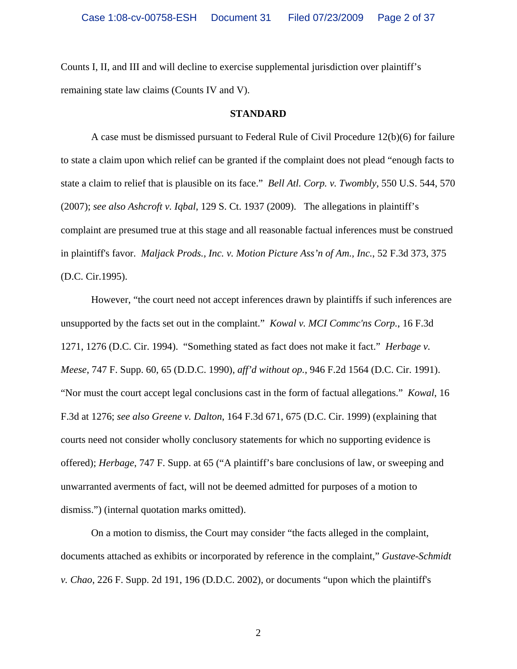Counts I, II, and III and will decline to exercise supplemental jurisdiction over plaintiff's remaining state law claims (Counts IV and V).

#### **STANDARD**

A case must be dismissed pursuant to Federal Rule of Civil Procedure 12(b)(6) for failure to state a claim upon which relief can be granted if the complaint does not plead "enough facts to state a claim to relief that is plausible on its face." *Bell Atl. Corp. v. Twombly*, 550 U.S. 544, 570 (2007); *see also Ashcroft v. Iqbal*, 129 S. Ct. 1937 (2009). The allegations in plaintiff's complaint are presumed true at this stage and all reasonable factual inferences must be construed in plaintiff's favor. *Maljack Prods., Inc. v. Motion Picture Ass'n of Am., Inc.*, 52 F.3d 373, 375 (D.C. Cir.1995).

However, "the court need not accept inferences drawn by plaintiffs if such inferences are unsupported by the facts set out in the complaint." *Kowal v. MCI Commc'ns Corp.*, 16 F.3d 1271, 1276 (D.C. Cir. 1994). "Something stated as fact does not make it fact." *Herbage v. Meese*, 747 F. Supp. 60, 65 (D.D.C. 1990), *aff'd without op.*, 946 F.2d 1564 (D.C. Cir. 1991). "Nor must the court accept legal conclusions cast in the form of factual allegations." *Kowal*, 16 F.3d at 1276; *see also Greene v. Dalton*, 164 F.3d 671, 675 (D.C. Cir. 1999) (explaining that courts need not consider wholly conclusory statements for which no supporting evidence is offered); *Herbage*, 747 F. Supp. at 65 ("A plaintiff's bare conclusions of law, or sweeping and unwarranted averments of fact, will not be deemed admitted for purposes of a motion to dismiss.") (internal quotation marks omitted).

On a motion to dismiss, the Court may consider "the facts alleged in the complaint, documents attached as exhibits or incorporated by reference in the complaint," *Gustave-Schmidt v. Chao*, 226 F. Supp. 2d 191, 196 (D.D.C. 2002), or documents "upon which the plaintiff's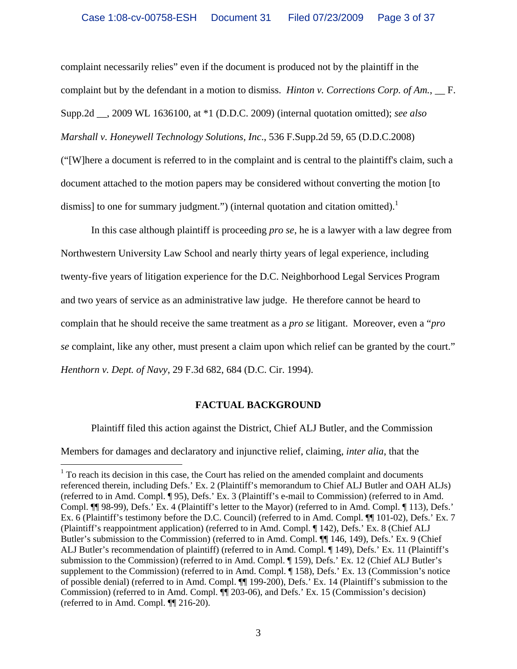complaint necessarily relies" even if the document is produced not by the plaintiff in the complaint but by the defendant in a motion to dismiss. *Hinton v. Corrections Corp. of Am.*, <u>F</u>. Supp.2d \_\_, 2009 WL 1636100, at \*1 (D.D.C. 2009) (internal quotation omitted); *see also Marshall v. Honeywell Technology Solutions, Inc*., 536 F.Supp.2d 59, 65 (D.D.C.2008) ("[W]here a document is referred to in the complaint and is central to the plaintiff's claim, such a document attached to the motion papers may be considered without converting the motion [to dismiss] to one for summary judgment.") (internal quotation and citation omitted).<sup>1</sup>

In this case although plaintiff is proceeding *pro se*, he is a lawyer with a law degree from Northwestern University Law School and nearly thirty years of legal experience, including twenty-five years of litigation experience for the D.C. Neighborhood Legal Services Program and two years of service as an administrative law judge. He therefore cannot be heard to complain that he should receive the same treatment as a *pro se* litigant. Moreover, even a "*pro se* complaint, like any other, must present a claim upon which relief can be granted by the court." *Henthorn v. Dept. of Navy*, 29 F.3d 682, 684 (D.C. Cir. 1994).

# **FACTUAL BACKGROUND**

Plaintiff filed this action against the District, Chief ALJ Butler, and the Commission Members for damages and declaratory and injunctive relief, claiming, *inter alia*, that the

 $1$  To reach its decision in this case, the Court has relied on the amended complaint and documents referenced therein, including Defs.' Ex. 2 (Plaintiff's memorandum to Chief ALJ Butler and OAH ALJs) (referred to in Amd. Compl. ¶ 95), Defs.' Ex. 3 (Plaintiff's e-mail to Commission) (referred to in Amd. Compl. ¶¶ 98-99), Defs.' Ex. 4 (Plaintiff's letter to the Mayor) (referred to in Amd. Compl. ¶ 113), Defs.' Ex. 6 (Plaintiff's testimony before the D.C. Council) (referred to in Amd. Compl. ¶¶ 101-02), Defs.' Ex. 7 (Plaintiff's reappointment application) (referred to in Amd. Compl. ¶ 142), Defs.' Ex. 8 (Chief ALJ Butler's submission to the Commission) (referred to in Amd. Compl. ¶[146, 149), Defs.' Ex. 9 (Chief ALJ Butler's recommendation of plaintiff) (referred to in Amd. Compl. ¶ 149), Defs.' Ex. 11 (Plaintiff's submission to the Commission) (referred to in Amd. Compl. ¶ 159), Defs.' Ex. 12 (Chief ALJ Butler's supplement to the Commission) (referred to in Amd. Compl. ¶ 158), Defs.' Ex. 13 (Commission's notice of possible denial) (referred to in Amd. Compl. ¶¶ 199-200), Defs.' Ex. 14 (Plaintiff's submission to the Commission) (referred to in Amd. Compl. ¶¶ 203-06), and Defs.' Ex. 15 (Commission's decision) (referred to in Amd. Compl. ¶¶ 216-20).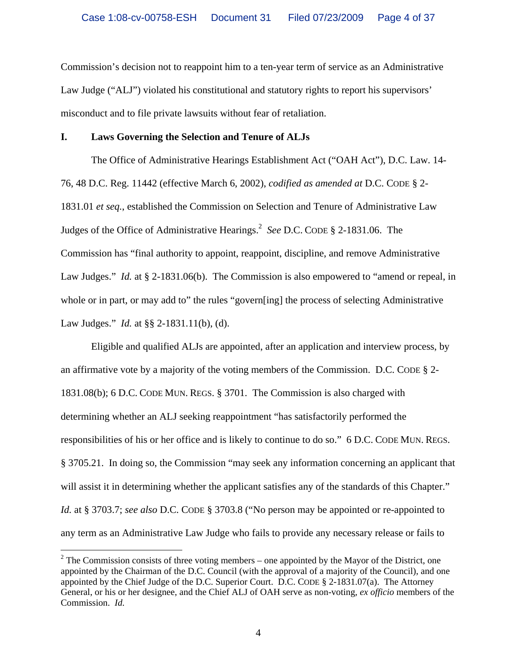Commission's decision not to reappoint him to a ten-year term of service as an Administrative Law Judge ("ALJ") violated his constitutional and statutory rights to report his supervisors' misconduct and to file private lawsuits without fear of retaliation.

### **I. Laws Governing the Selection and Tenure of ALJs**

The Office of Administrative Hearings Establishment Act ("OAH Act"), D.C. Law. 14- 76, 48 D.C. Reg. 11442 (effective March 6, 2002), *codified as amended at* D.C. CODE § 2- 1831.01 *et seq.*, established the Commission on Selection and Tenure of Administrative Law Judges of the Office of Administrative Hearings.2 *See* D.C. CODE § 2-1831.06. The Commission has "final authority to appoint, reappoint, discipline, and remove Administrative Law Judges." *Id.* at § 2-1831.06(b). The Commission is also empowered to "amend or repeal, in whole or in part, or may add to" the rules "govern[ing] the process of selecting Administrative Law Judges." *Id.* at §§ 2-1831.11(b), (d).

Eligible and qualified ALJs are appointed, after an application and interview process, by an affirmative vote by a majority of the voting members of the Commission. D.C. CODE § 2- 1831.08(b); 6 D.C. CODE MUN. REGS. § 3701. The Commission is also charged with determining whether an ALJ seeking reappointment "has satisfactorily performed the responsibilities of his or her office and is likely to continue to do so." 6 D.C. CODE MUN. REGS. § 3705.21. In doing so, the Commission "may seek any information concerning an applicant that will assist it in determining whether the applicant satisfies any of the standards of this Chapter." *Id.* at § 3703.7; *see also* D.C. CODE § 3703.8 ("No person may be appointed or re-appointed to any term as an Administrative Law Judge who fails to provide any necessary release or fails to

 $2^2$  The Commission consists of three voting members – one appointed by the Mayor of the District, one appointed by the Chairman of the D.C. Council (with the approval of a majority of the Council), and one appointed by the Chief Judge of the D.C. Superior Court. D.C. CODE § 2-1831.07(a). The Attorney General, or his or her designee, and the Chief ALJ of OAH serve as non-voting, *ex officio* members of the Commission. *Id.*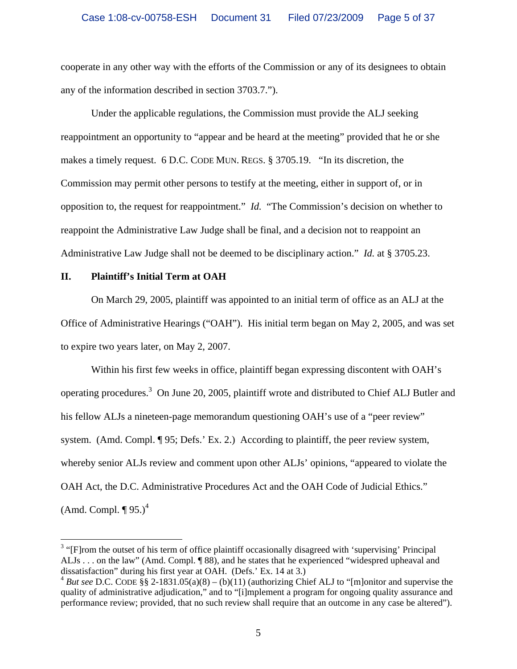cooperate in any other way with the efforts of the Commission or any of its designees to obtain any of the information described in section 3703.7.").

Under the applicable regulations, the Commission must provide the ALJ seeking reappointment an opportunity to "appear and be heard at the meeting" provided that he or she makes a timely request. 6 D.C. CODE MUN. REGS. § 3705.19. "In its discretion, the Commission may permit other persons to testify at the meeting, either in support of, or in opposition to, the request for reappointment." *Id.* "The Commission's decision on whether to reappoint the Administrative Law Judge shall be final, and a decision not to reappoint an Administrative Law Judge shall not be deemed to be disciplinary action." *Id.* at § 3705.23.

### **II. Plaintiff's Initial Term at OAH**

 $\overline{a}$ 

On March 29, 2005, plaintiff was appointed to an initial term of office as an ALJ at the Office of Administrative Hearings ("OAH"). His initial term began on May 2, 2005, and was set to expire two years later, on May 2, 2007.

Within his first few weeks in office, plaintiff began expressing discontent with OAH's operating procedures.<sup>3</sup> On June 20, 2005, plaintiff wrote and distributed to Chief ALJ Butler and his fellow ALJs a nineteen-page memorandum questioning OAH's use of a "peer review" system. (Amd. Compl. ¶ 95; Defs.' Ex. 2.) According to plaintiff, the peer review system, whereby senior ALJs review and comment upon other ALJs' opinions, "appeared to violate the OAH Act, the D.C. Administrative Procedures Act and the OAH Code of Judicial Ethics." (Amd. Compl.  $\P$  95.)<sup>4</sup>

<sup>&</sup>lt;sup>3</sup> "[F]rom the outset of his term of office plaintiff occasionally disagreed with 'supervising' Principal ALJs . . . on the law" (Amd. Compl. ¶ 88), and he states that he experienced "widespred upheaval and dissatisfaction" during his first year at OAH. (Defs.' Ex. 14 at 3.)

<sup>&</sup>lt;sup>4</sup> *But see* D.C. CODE §§ 2-1831.05(a)(8) – (b)(11) (authorizing Chief ALJ to "[m]onitor and supervise the quality of administrative adjudication," and to "[i]mplement a program for ongoing quality assurance and performance review; provided, that no such review shall require that an outcome in any case be altered").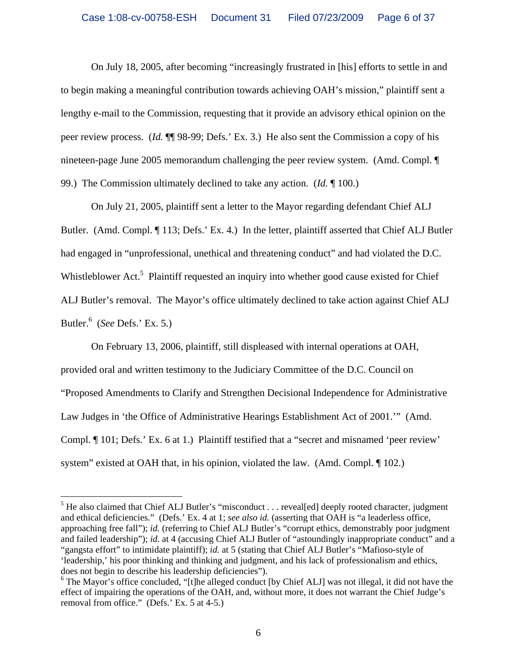On July 18, 2005, after becoming "increasingly frustrated in [his] efforts to settle in and to begin making a meaningful contribution towards achieving OAH's mission," plaintiff sent a lengthy e-mail to the Commission, requesting that it provide an advisory ethical opinion on the peer review process. (*Id.* ¶¶ 98-99; Defs.' Ex. 3.) He also sent the Commission a copy of his nineteen-page June 2005 memorandum challenging the peer review system. (Amd. Compl. ¶ 99.) The Commission ultimately declined to take any action. (*Id.* ¶ 100.)

On July 21, 2005, plaintiff sent a letter to the Mayor regarding defendant Chief ALJ Butler. (Amd. Compl. ¶ 113; Defs.' Ex. 4.) In the letter, plaintiff asserted that Chief ALJ Butler had engaged in "unprofessional, unethical and threatening conduct" and had violated the D.C. Whistleblower Act.<sup>5</sup> Plaintiff requested an inquiry into whether good cause existed for Chief ALJ Butler's removal. The Mayor's office ultimately declined to take action against Chief ALJ Butler.6 (*See* Defs.' Ex. 5.)

On February 13, 2006, plaintiff, still displeased with internal operations at OAH, provided oral and written testimony to the Judiciary Committee of the D.C. Council on "Proposed Amendments to Clarify and Strengthen Decisional Independence for Administrative Law Judges in 'the Office of Administrative Hearings Establishment Act of 2001.'" (Amd. Compl. ¶ 101; Defs.' Ex. 6 at 1.) Plaintiff testified that a "secret and misnamed 'peer review' system" existed at OAH that, in his opinion, violated the law. (Amd. Compl. ¶ 102.)

 $<sup>5</sup>$  He also claimed that Chief ALJ Butler's "misconduct . . . reveal[ed] deeply rooted character, judgment</sup> and ethical deficiencies." (Defs.' Ex. 4 at 1; *see also id.* (asserting that OAH is "a leaderless office, approaching free fall"); *id.* (referring to Chief ALJ Butler's "corrupt ethics, demonstrably poor judgment and failed leadership"); *id.* at 4 (accusing Chief ALJ Butler of "astoundingly inappropriate conduct" and a "gangsta effort" to intimidate plaintiff); *id.* at 5 (stating that Chief ALJ Butler's "Mafioso-style of 'leadership,' his poor thinking and thinking and judgment, and his lack of professionalism and ethics, does not begin to describe his leadership deficiencies").

<sup>&</sup>lt;sup>6</sup> The Mayor's office concluded, "[t]he alleged conduct [by Chief ALJ] was not illegal, it did not have the effect of impairing the operations of the OAH, and, without more, it does not warrant the Chief Judge's removal from office." (Defs.' Ex. 5 at 4-5.)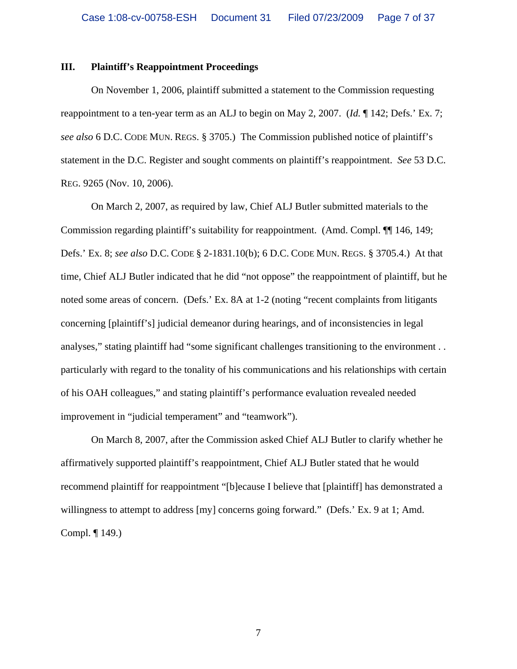#### **III. Plaintiff's Reappointment Proceedings**

On November 1, 2006, plaintiff submitted a statement to the Commission requesting reappointment to a ten-year term as an ALJ to begin on May 2, 2007. (*Id.* ¶ 142; Defs.' Ex. 7; *see also* 6 D.C. CODE MUN. REGS. § 3705.) The Commission published notice of plaintiff's statement in the D.C. Register and sought comments on plaintiff's reappointment. *See* 53 D.C. REG. 9265 (Nov. 10, 2006).

On March 2, 2007, as required by law, Chief ALJ Butler submitted materials to the Commission regarding plaintiff's suitability for reappointment. (Amd. Compl. ¶¶ 146, 149; Defs.' Ex. 8; *see also* D.C. CODE § 2-1831.10(b); 6 D.C. CODE MUN. REGS. § 3705.4.) At that time, Chief ALJ Butler indicated that he did "not oppose" the reappointment of plaintiff, but he noted some areas of concern. (Defs.' Ex. 8A at 1-2 (noting "recent complaints from litigants concerning [plaintiff's] judicial demeanor during hearings, and of inconsistencies in legal analyses," stating plaintiff had "some significant challenges transitioning to the environment . . particularly with regard to the tonality of his communications and his relationships with certain of his OAH colleagues," and stating plaintiff's performance evaluation revealed needed improvement in "judicial temperament" and "teamwork").

On March 8, 2007, after the Commission asked Chief ALJ Butler to clarify whether he affirmatively supported plaintiff's reappointment, Chief ALJ Butler stated that he would recommend plaintiff for reappointment "[b]ecause I believe that [plaintiff] has demonstrated a willingness to attempt to address [my] concerns going forward." (Defs.' Ex. 9 at 1; Amd.) Compl. ¶ 149.)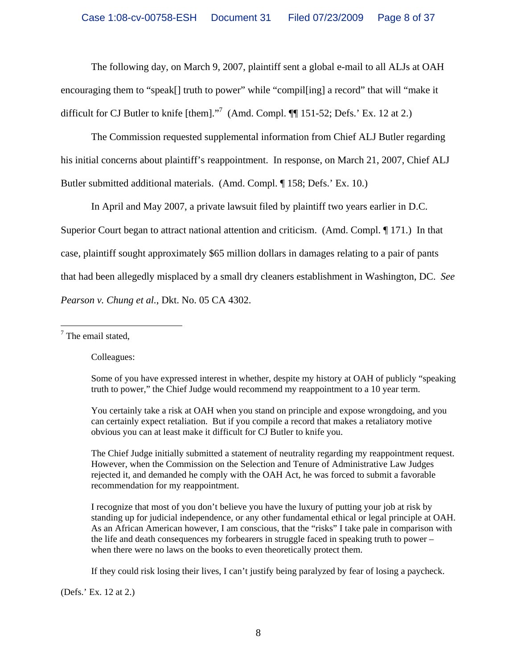The following day, on March 9, 2007, plaintiff sent a global e-mail to all ALJs at OAH encouraging them to "speak<sup>[]</sup> truth to power" while "compilering] a record" that will "make it difficult for CJ Butler to knife [them]. $\cdot$ <sup>7</sup> (Amd. Compl. ¶ 151-52; Defs.' Ex. 12 at 2.)

The Commission requested supplemental information from Chief ALJ Butler regarding his initial concerns about plaintiff's reappointment. In response, on March 21, 2007, Chief ALJ Butler submitted additional materials. (Amd. Compl. ¶ 158; Defs.' Ex. 10.)

In April and May 2007, a private lawsuit filed by plaintiff two years earlier in D.C.

Superior Court began to attract national attention and criticism. (Amd. Compl. ¶ 171.) In that

case, plaintiff sought approximately \$65 million dollars in damages relating to a pair of pants

that had been allegedly misplaced by a small dry cleaners establishment in Washington, DC. *See* 

*Pearson v. Chung et al.*, Dkt. No. 05 CA 4302.

<sup>7</sup> The email stated,

Colleagues:

Some of you have expressed interest in whether, despite my history at OAH of publicly "speaking truth to power," the Chief Judge would recommend my reappointment to a 10 year term.

You certainly take a risk at OAH when you stand on principle and expose wrongdoing, and you can certainly expect retaliation. But if you compile a record that makes a retaliatory motive obvious you can at least make it difficult for CJ Butler to knife you.

The Chief Judge initially submitted a statement of neutrality regarding my reappointment request. However, when the Commission on the Selection and Tenure of Administrative Law Judges rejected it, and demanded he comply with the OAH Act, he was forced to submit a favorable recommendation for my reappointment.

I recognize that most of you don't believe you have the luxury of putting your job at risk by standing up for judicial independence, or any other fundamental ethical or legal principle at OAH. As an African American however, I am conscious, that the "risks" I take pale in comparison with the life and death consequences my forbearers in struggle faced in speaking truth to power – when there were no laws on the books to even theoretically protect them.

If they could risk losing their lives, I can't justify being paralyzed by fear of losing a paycheck.

(Defs.' Ex. 12 at 2.)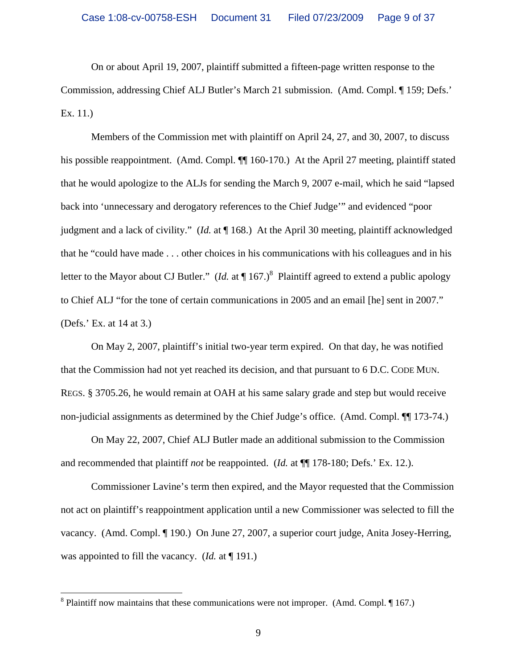On or about April 19, 2007, plaintiff submitted a fifteen-page written response to the Commission, addressing Chief ALJ Butler's March 21 submission. (Amd. Compl. ¶ 159; Defs.' Ex. 11.)

Members of the Commission met with plaintiff on April 24, 27, and 30, 2007, to discuss his possible reappointment. (Amd. Compl.  $\P\P$  160-170.) At the April 27 meeting, plaintiff stated that he would apologize to the ALJs for sending the March 9, 2007 e-mail, which he said "lapsed back into 'unnecessary and derogatory references to the Chief Judge'" and evidenced "poor judgment and a lack of civility." (*Id.* at ¶ 168.) At the April 30 meeting, plaintiff acknowledged that he "could have made . . . other choices in his communications with his colleagues and in his letter to the Mayor about CJ Butler." (*Id.* at  $\P$  167.)<sup>8</sup> Plaintiff agreed to extend a public apology to Chief ALJ "for the tone of certain communications in 2005 and an email [he] sent in 2007." (Defs.' Ex. at 14 at 3.)

On May 2, 2007, plaintiff's initial two-year term expired. On that day, he was notified that the Commission had not yet reached its decision, and that pursuant to 6 D.C. CODE MUN. REGS. § 3705.26, he would remain at OAH at his same salary grade and step but would receive non-judicial assignments as determined by the Chief Judge's office. (Amd. Compl. ¶¶ 173-74.)

On May 22, 2007, Chief ALJ Butler made an additional submission to the Commission and recommended that plaintiff *not* be reappointed. (*Id.* at ¶¶ 178-180; Defs.' Ex. 12.).

Commissioner Lavine's term then expired, and the Mayor requested that the Commission not act on plaintiff's reappointment application until a new Commissioner was selected to fill the vacancy. (Amd. Compl. ¶ 190.) On June 27, 2007, a superior court judge, Anita Josey-Herring, was appointed to fill the vacancy. (*Id.* at ¶ 191.)

<u>.</u>

<sup>&</sup>lt;sup>8</sup> Plaintiff now maintains that these communications were not improper. (Amd. Compl.  $\P$  167.)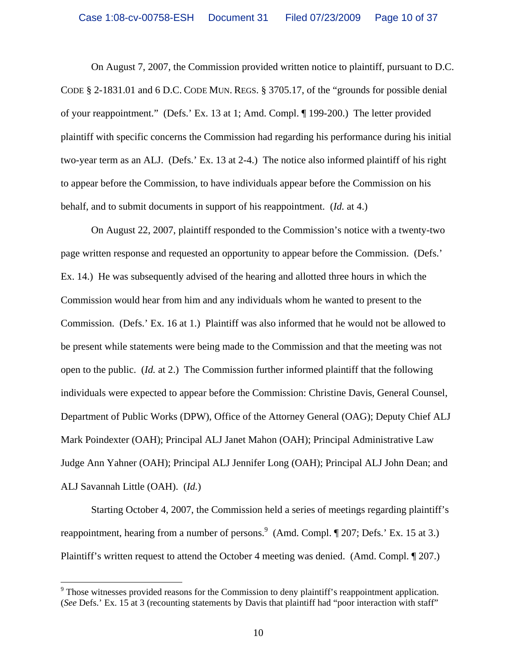On August 7, 2007, the Commission provided written notice to plaintiff, pursuant to D.C. CODE § 2-1831.01 and 6 D.C. CODE MUN. REGS. § 3705.17, of the "grounds for possible denial of your reappointment." (Defs.' Ex. 13 at 1; Amd. Compl. ¶ 199-200.) The letter provided plaintiff with specific concerns the Commission had regarding his performance during his initial two-year term as an ALJ. (Defs.' Ex. 13 at 2-4.) The notice also informed plaintiff of his right to appear before the Commission, to have individuals appear before the Commission on his behalf, and to submit documents in support of his reappointment. (*Id.* at 4.)

On August 22, 2007, plaintiff responded to the Commission's notice with a twenty-two page written response and requested an opportunity to appear before the Commission. (Defs.' Ex. 14.) He was subsequently advised of the hearing and allotted three hours in which the Commission would hear from him and any individuals whom he wanted to present to the Commission. (Defs.' Ex. 16 at 1.) Plaintiff was also informed that he would not be allowed to be present while statements were being made to the Commission and that the meeting was not open to the public. (*Id.* at 2.)The Commission further informed plaintiff that the following individuals were expected to appear before the Commission: Christine Davis, General Counsel, Department of Public Works (DPW), Office of the Attorney General (OAG); Deputy Chief ALJ Mark Poindexter (OAH); Principal ALJ Janet Mahon (OAH); Principal Administrative Law Judge Ann Yahner (OAH); Principal ALJ Jennifer Long (OAH); Principal ALJ John Dean; and ALJ Savannah Little (OAH). (*Id.*)

Starting October 4, 2007, the Commission held a series of meetings regarding plaintiff's reappointment, hearing from a number of persons.  $9 \text{ (Amd. Compl. } \P 207; \text{Defs.' } \text{Ex. } 15 \text{ at } 3.)$ Plaintiff's written request to attend the October 4 meeting was denied. (Amd. Compl. ¶ 207.)

 $9$  Those witnesses provided reasons for the Commission to deny plaintiff's reappointment application. (*See* Defs.' Ex. 15 at 3 (recounting statements by Davis that plaintiff had "poor interaction with staff"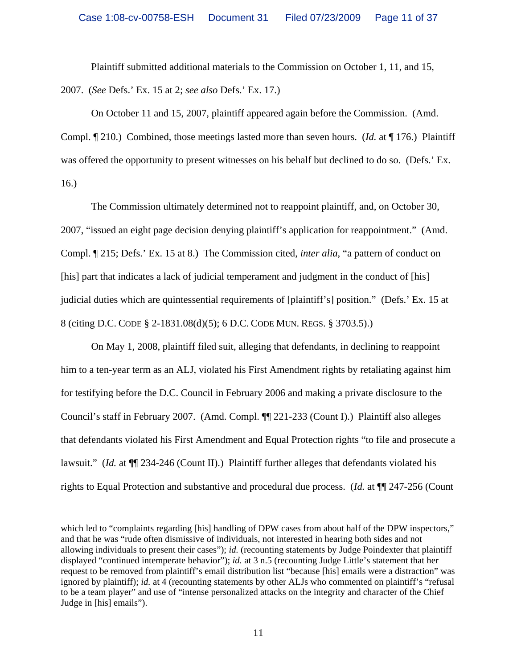Plaintiff submitted additional materials to the Commission on October 1, 11, and 15,

2007. (*See* Defs.' Ex. 15 at 2; *see also* Defs.' Ex. 17.)

 $\overline{a}$ 

On October 11 and 15, 2007, plaintiff appeared again before the Commission. (Amd.

Compl. ¶ 210.) Combined, those meetings lasted more than seven hours. (*Id.* at ¶ 176.) Plaintiff was offered the opportunity to present witnesses on his behalf but declined to do so. (Defs.' Ex. 16.)

The Commission ultimately determined not to reappoint plaintiff, and, on October 30, 2007, "issued an eight page decision denying plaintiff's application for reappointment." (Amd. Compl. ¶ 215; Defs.' Ex. 15 at 8.) The Commission cited, *inter alia*, "a pattern of conduct on [his] part that indicates a lack of judicial temperament and judgment in the conduct of [his] judicial duties which are quintessential requirements of [plaintiff's] position." (Defs.' Ex. 15 at 8 (citing D.C. CODE § 2-1831.08(d)(5); 6 D.C. CODE MUN. REGS. § 3703.5).)

On May 1, 2008, plaintiff filed suit, alleging that defendants, in declining to reappoint him to a ten-year term as an ALJ, violated his First Amendment rights by retaliating against him for testifying before the D.C. Council in February 2006 and making a private disclosure to the Council's staff in February 2007. (Amd. Compl. ¶¶ 221-233 (Count I).) Plaintiff also alleges that defendants violated his First Amendment and Equal Protection rights "to file and prosecute a lawsuit." (*Id.* at  $\P$  234-246 (Count II).) Plaintiff further alleges that defendants violated his rights to Equal Protection and substantive and procedural due process. (*Id.* at ¶¶ 247-256 (Count

which led to "complaints regarding [his] handling of DPW cases from about half of the DPW inspectors," and that he was "rude often dismissive of individuals, not interested in hearing both sides and not allowing individuals to present their cases"); *id.* (recounting statements by Judge Poindexter that plaintiff displayed "continued intemperate behavior"); *id.* at 3 n.5 (recounting Judge Little's statement that her request to be removed from plaintiff's email distribution list "because [his] emails were a distraction" was ignored by plaintiff); *id.* at 4 (recounting statements by other ALJs who commented on plaintiff's "refusal" to be a team player" and use of "intense personalized attacks on the integrity and character of the Chief Judge in [his] emails").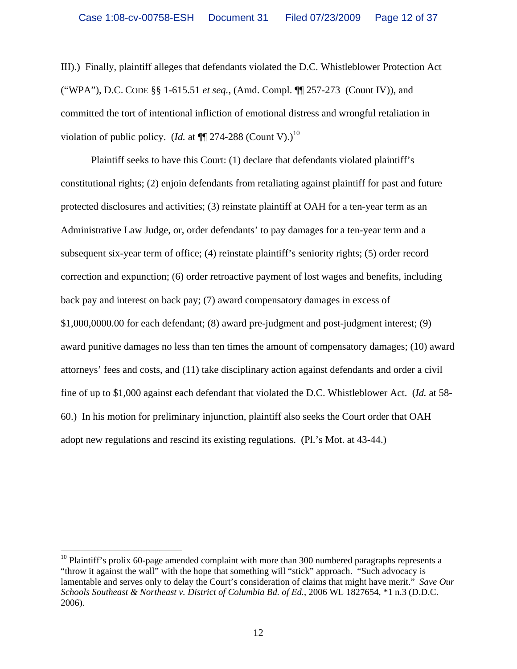III).) Finally, plaintiff alleges that defendants violated the D.C. Whistleblower Protection Act ("WPA"), D.C. CODE §§ 1-615.51 *et seq.*, (Amd. Compl. ¶¶ 257-273 (Count IV)), and committed the tort of intentional infliction of emotional distress and wrongful retaliation in violation of public policy. (*Id.* at  $\P$  274-288 (Count V).)<sup>10</sup>

Plaintiff seeks to have this Court: (1) declare that defendants violated plaintiff's constitutional rights; (2) enjoin defendants from retaliating against plaintiff for past and future protected disclosures and activities; (3) reinstate plaintiff at OAH for a ten-year term as an Administrative Law Judge, or, order defendants' to pay damages for a ten-year term and a subsequent six-year term of office; (4) reinstate plaintiff's seniority rights; (5) order record correction and expunction; (6) order retroactive payment of lost wages and benefits, including back pay and interest on back pay; (7) award compensatory damages in excess of \$1,000,0000.00 for each defendant; (8) award pre-judgment and post-judgment interest; (9) award punitive damages no less than ten times the amount of compensatory damages; (10) award attorneys' fees and costs, and (11) take disciplinary action against defendants and order a civil fine of up to \$1,000 against each defendant that violated the D.C. Whistleblower Act. (*Id.* at 58- 60.) In his motion for preliminary injunction, plaintiff also seeks the Court order that OAH adopt new regulations and rescind its existing regulations. (Pl.'s Mot. at 43-44.)

 $10$  Plaintiff's prolix 60-page amended complaint with more than 300 numbered paragraphs represents a "throw it against the wall" with the hope that something will "stick" approach. "Such advocacy is lamentable and serves only to delay the Court's consideration of claims that might have merit." *Save Our Schools Southeast & Northeast v. District of Columbia Bd. of Ed.*, 2006 WL 1827654, \*1 n.3 (D.D.C. 2006).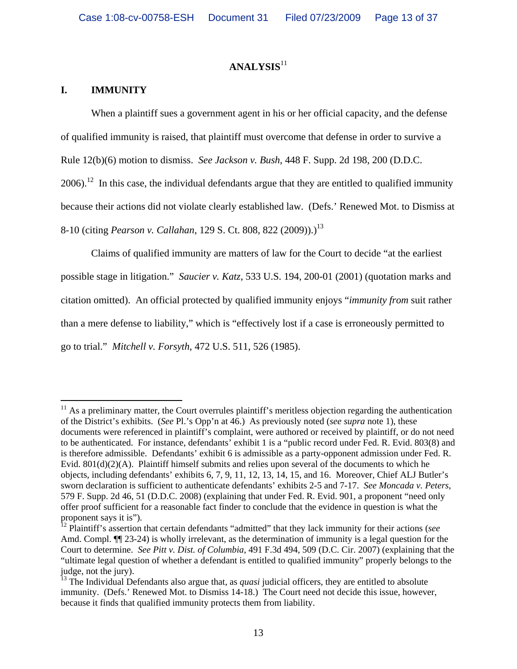# **ANALYSIS**<sup>11</sup>

## **I. IMMUNITY**

 $\overline{a}$ 

When a plaintiff sues a government agent in his or her official capacity, and the defense of qualified immunity is raised, that plaintiff must overcome that defense in order to survive a Rule 12(b)(6) motion to dismiss. *See Jackson v. Bush*, 448 F. Supp. 2d 198, 200 (D.D.C.  $2006$ .<sup>12</sup> In this case, the individual defendants argue that they are entitled to qualified immunity because their actions did not violate clearly established law. (Defs.' Renewed Mot. to Dismiss at

8-10 (citing *Pearson v. Callahan*, 129 S. Ct. 808, 822 (2009)).)13

Claims of qualified immunity are matters of law for the Court to decide "at the earliest possible stage in litigation." *Saucier v. Katz*, 533 U.S. 194, 200-01 (2001) (quotation marks and citation omitted). An official protected by qualified immunity enjoys "*immunity from* suit rather than a mere defense to liability," which is "effectively lost if a case is erroneously permitted to go to trial." *Mitchell v. Forsyth*, 472 U.S. 511, 526 (1985).

 $11$  As a preliminary matter, the Court overrules plaintiff's meritless objection regarding the authentication of the District's exhibits. (*See* Pl.'s Opp'n at 46.) As previously noted (*see supra* note 1), these documents were referenced in plaintiff's complaint, were authored or received by plaintiff, or do not need to be authenticated. For instance, defendants' exhibit 1 is a "public record under Fed. R. Evid. 803(8) and is therefore admissible. Defendants' exhibit 6 is admissible as a party-opponent admission under Fed. R. Evid. 801(d)(2)(A). Plaintiff himself submits and relies upon several of the documents to which he objects, including defendants' exhibits 6, 7, 9, 11, 12, 13, 14, 15, and 16. Moreover, Chief ALJ Butler's sworn declaration is sufficient to authenticate defendants' exhibits 2-5 and 7-17. *See Moncada v. Peters*, 579 F. Supp. 2d 46, 51 (D.D.C. 2008) (explaining that under Fed. R. Evid. 901, a proponent "need only offer proof sufficient for a reasonable fact finder to conclude that the evidence in question is what the proponent says it is").

<sup>12</sup> Plaintiff's assertion that certain defendants "admitted" that they lack immunity for their actions (*see* Amd. Compl.  $\P$ [23-24) is wholly irrelevant, as the determination of immunity is a legal question for the Court to determine. *See Pitt v. Dist. of Columbia*, 491 F.3d 494, 509 (D.C. Cir. 2007) (explaining that the "ultimate legal question of whether a defendant is entitled to qualified immunity" properly belongs to the judge, not the jury).

<sup>&</sup>lt;sup>13</sup> The Individual Defendants also argue that, as *quasi* judicial officers, they are entitled to absolute immunity. (Defs.' Renewed Mot. to Dismiss 14-18.) The Court need not decide this issue, however, because it finds that qualified immunity protects them from liability.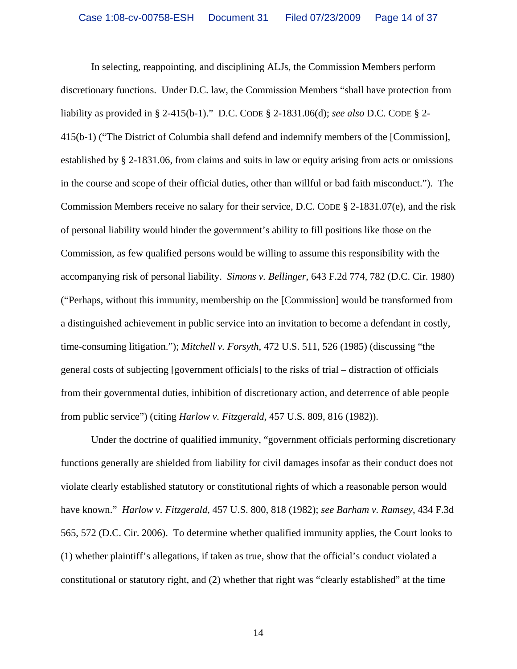In selecting, reappointing, and disciplining ALJs, the Commission Members perform discretionary functions. Under D.C. law, the Commission Members "shall have protection from liability as provided in § 2-415(b-1)." D.C. CODE § 2-1831.06(d); *see also* D.C. CODE § 2- 415(b-1) ("The District of Columbia shall defend and indemnify members of the [Commission], established by § 2-1831.06, from claims and suits in law or equity arising from acts or omissions in the course and scope of their official duties, other than willful or bad faith misconduct."). The Commission Members receive no salary for their service, D.C. CODE § 2-1831.07(e), and the risk of personal liability would hinder the government's ability to fill positions like those on the Commission, as few qualified persons would be willing to assume this responsibility with the accompanying risk of personal liability. *Simons v. Bellinger*, 643 F.2d 774, 782 (D.C. Cir. 1980) ("Perhaps, without this immunity, membership on the [Commission] would be transformed from a distinguished achievement in public service into an invitation to become a defendant in costly, time-consuming litigation."); *Mitchell v. Forsyth*, 472 U.S. 511, 526 (1985) (discussing "the general costs of subjecting [government officials] to the risks of trial – distraction of officials from their governmental duties, inhibition of discretionary action, and deterrence of able people from public service") (citing *Harlow v. Fitzgerald*, 457 U.S. 809, 816 (1982)).

Under the doctrine of qualified immunity, "government officials performing discretionary functions generally are shielded from liability for civil damages insofar as their conduct does not violate clearly established statutory or constitutional rights of which a reasonable person would have known." *Harlow v. Fitzgerald*, 457 U.S. 800, 818 (1982); *see Barham v. Ramsey*, 434 F.3d 565, 572 (D.C. Cir. 2006). To determine whether qualified immunity applies, the Court looks to (1) whether plaintiff's allegations, if taken as true, show that the official's conduct violated a constitutional or statutory right, and (2) whether that right was "clearly established" at the time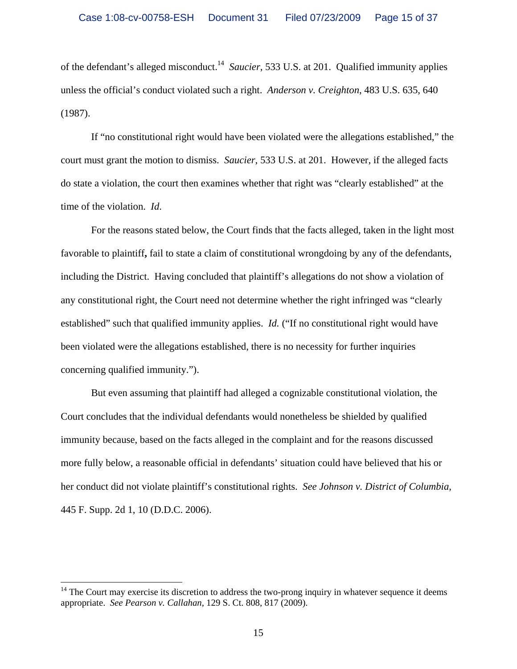of the defendant's alleged misconduct.<sup>14</sup> *Saucier*, 533 U.S. at 201. Qualified immunity applies unless the official's conduct violated such a right. *Anderson v. Creighton*, 483 U.S. 635, 640 (1987).

If "no constitutional right would have been violated were the allegations established," the court must grant the motion to dismiss. *Saucier*, 533 U.S. at 201. However, if the alleged facts do state a violation, the court then examines whether that right was "clearly established" at the time of the violation. *Id*.

For the reasons stated below, the Court finds that the facts alleged, taken in the light most favorable to plaintiff**,** fail to state a claim of constitutional wrongdoing by any of the defendants, including the District. Having concluded that plaintiff's allegations do not show a violation of any constitutional right, the Court need not determine whether the right infringed was "clearly established" such that qualified immunity applies. *Id.* ("If no constitutional right would have been violated were the allegations established, there is no necessity for further inquiries concerning qualified immunity.").

But even assuming that plaintiff had alleged a cognizable constitutional violation, the Court concludes that the individual defendants would nonetheless be shielded by qualified immunity because, based on the facts alleged in the complaint and for the reasons discussed more fully below, a reasonable official in defendants' situation could have believed that his or her conduct did not violate plaintiff's constitutional rights. *See Johnson v. District of Columbia*, 445 F. Supp. 2d 1, 10 (D.D.C. 2006).

 $14$  The Court may exercise its discretion to address the two-prong inquiry in whatever sequence it deems appropriate. *See Pearson v. Callahan*, 129 S. Ct. 808, 817 (2009).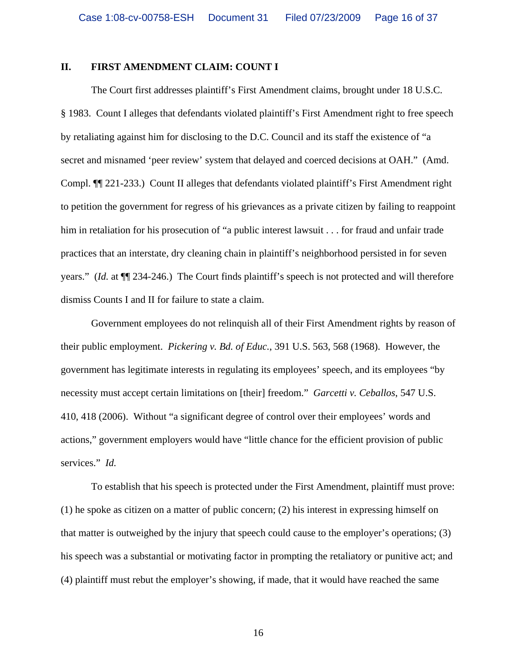## **II. FIRST AMENDMENT CLAIM: COUNT I**

The Court first addresses plaintiff's First Amendment claims, brought under 18 U.S.C. § 1983. Count I alleges that defendants violated plaintiff's First Amendment right to free speech by retaliating against him for disclosing to the D.C. Council and its staff the existence of "a secret and misnamed 'peer review' system that delayed and coerced decisions at OAH." (Amd. Compl. ¶¶ 221-233.) Count II alleges that defendants violated plaintiff's First Amendment right to petition the government for regress of his grievances as a private citizen by failing to reappoint him in retaliation for his prosecution of "a public interest lawsuit . . . for fraud and unfair trade practices that an interstate, dry cleaning chain in plaintiff's neighborhood persisted in for seven years." (*Id.* at ¶¶ 234-246.) The Court finds plaintiff's speech is not protected and will therefore dismiss Counts I and II for failure to state a claim.

Government employees do not relinquish all of their First Amendment rights by reason of their public employment. *Pickering v. Bd. of Educ.*, 391 U.S. 563, 568 (1968).However, the government has legitimate interests in regulating its employees' speech, and its employees "by necessity must accept certain limitations on [their] freedom." *Garcetti v. Ceballos*, 547 U.S. 410, 418 (2006). Without "a significant degree of control over their employees' words and actions," government employers would have "little chance for the efficient provision of public services." *Id.*

 To establish that his speech is protected under the First Amendment, plaintiff must prove: (1) he spoke as citizen on a matter of public concern; (2) his interest in expressing himself on that matter is outweighed by the injury that speech could cause to the employer's operations; (3) his speech was a substantial or motivating factor in prompting the retaliatory or punitive act; and (4) plaintiff must rebut the employer's showing, if made, that it would have reached the same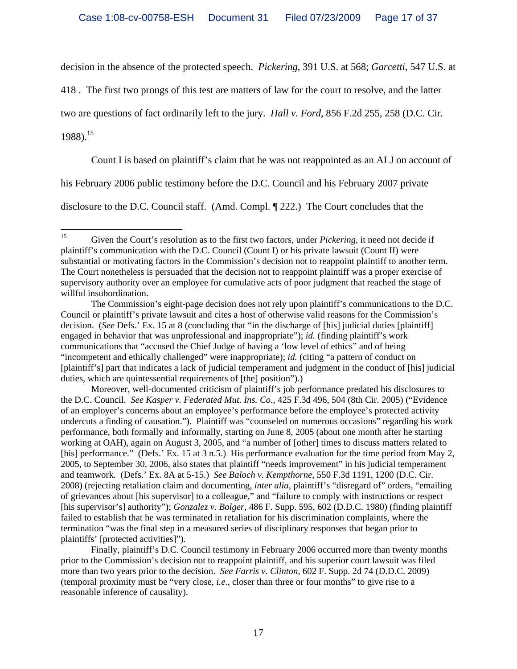decision in the absence of the protected speech. *Pickering*, 391 U.S. at 568; *Garcetti*, 547 U.S. at

418 . The first two prongs of this test are matters of law for the court to resolve, and the latter

two are questions of fact ordinarily left to the jury. *Hall v. Ford*, 856 F.2d 255, 258 (D.C. Cir.

1988).15

Count I is based on plaintiff's claim that he was not reappointed as an ALJ on account of

his February 2006 public testimony before the D.C. Council and his February 2007 private

disclosure to the D.C. Council staff. (Amd. Compl. ¶ 222.) The Court concludes that the

 $15\,$ 15 Given the Court's resolution as to the first two factors, under *Pickering*, it need not decide if plaintiff's communication with the D.C. Council (Count I) or his private lawsuit (Count II) were substantial or motivating factors in the Commission's decision not to reappoint plaintiff to another term. The Court nonetheless is persuaded that the decision not to reappoint plaintiff was a proper exercise of supervisory authority over an employee for cumulative acts of poor judgment that reached the stage of willful insubordination.

The Commission's eight-page decision does not rely upon plaintiff's communications to the D.C. Council or plaintiff's private lawsuit and cites a host of otherwise valid reasons for the Commission's decision. (*See* Defs.' Ex. 15 at 8 (concluding that "in the discharge of [his] judicial duties [plaintiff] engaged in behavior that was unprofessional and inappropriate"); *id.* (finding plaintiff's work communications that "accused the Chief Judge of having a 'low level of ethics" and of being "incompetent and ethically challenged" were inappropriate); *id.* (citing "a pattern of conduct on [plaintiff's] part that indicates a lack of judicial temperament and judgment in the conduct of [his] judicial duties, which are quintessential requirements of [the] position").)

Moreover, well-documented criticism of plaintiff's job performance predated his disclosures to the D.C. Council. *See Kasper v. Federated Mut. Ins. Co.*, 425 F.3d 496, 504 (8th Cir. 2005) ("Evidence of an employer's concerns about an employee's performance before the employee's protected activity undercuts a finding of causation."). Plaintiff was "counseled on numerous occasions" regarding his work performance, both formally and informally, starting on June 8, 2005 (about one month after he starting working at OAH), again on August 3, 2005, and "a number of [other] times to discuss matters related to [his] performance." (Defs.' Ex. 15 at 3 n.5.) His performance evaluation for the time period from May 2, 2005, to September 30, 2006, also states that plaintiff "needs improvement" in his judicial temperament and teamwork. (Defs.' Ex. 8A at 5-15.) *See Baloch v. Kempthorne*, 550 F.3d 1191, 1200 (D.C. Cir. 2008) (rejecting retaliation claim and documenting, *inter alia*, plaintiff's "disregard of" orders, "emailing of grievances about [his supervisor] to a colleague," and "failure to comply with instructions or respect [his supervisor's] authority"); *Gonzalez v. Bolger*, 486 F. Supp. 595, 602 (D.D.C. 1980) (finding plaintiff failed to establish that he was terminated in retaliation for his discrimination complaints, where the termination "was the final step in a measured series of disciplinary responses that began prior to plaintiffs' [protected activities]").

Finally, plaintiff's D.C. Council testimony in February 2006 occurred more than twenty months prior to the Commission's decision not to reappoint plaintiff, and his superior court lawsuit was filed more than two years prior to the decision. *See Farris v. Clinton*, 602 F. Supp. 2d 74 (D.D.C. 2009) (temporal proximity must be "very close, *i.e.*, closer than three or four months" to give rise to a reasonable inference of causality).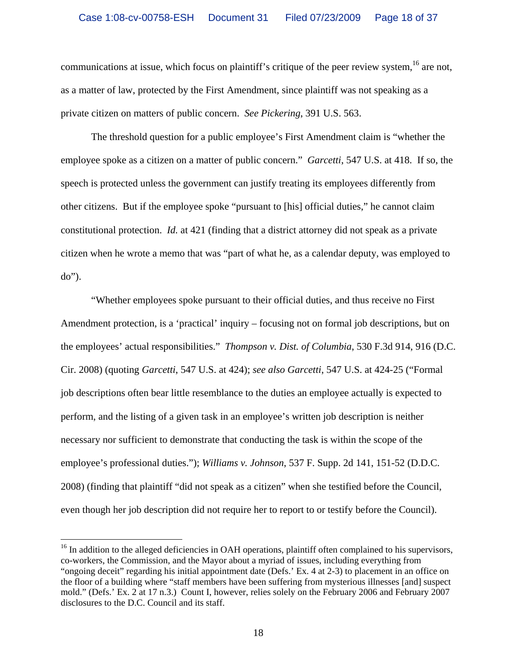communications at issue, which focus on plaintiff's critique of the peer review system,<sup>16</sup> are not, as a matter of law, protected by the First Amendment, since plaintiff was not speaking as a private citizen on matters of public concern. *See Pickering*, 391 U.S. 563.

The threshold question for a public employee's First Amendment claim is "whether the employee spoke as a citizen on a matter of public concern." *Garcetti*, 547 U.S. at 418. If so, the speech is protected unless the government can justify treating its employees differently from other citizens. But if the employee spoke "pursuant to [his] official duties," he cannot claim constitutional protection. *Id.* at 421 (finding that a district attorney did not speak as a private citizen when he wrote a memo that was "part of what he, as a calendar deputy, was employed to do").

"Whether employees spoke pursuant to their official duties, and thus receive no First Amendment protection, is a 'practical' inquiry – focusing not on formal job descriptions, but on the employees' actual responsibilities." *Thompson v. Dist. of Columbia*, 530 F.3d 914, 916 (D.C. Cir. 2008) (quoting *Garcetti*, 547 U.S. at 424); *see also Garcetti*, 547 U.S. at 424-25 ("Formal job descriptions often bear little resemblance to the duties an employee actually is expected to perform, and the listing of a given task in an employee's written job description is neither necessary nor sufficient to demonstrate that conducting the task is within the scope of the employee's professional duties."); *Williams v. Johnson*, 537 F. Supp. 2d 141, 151-52 (D.D.C. 2008) (finding that plaintiff "did not speak as a citizen" when she testified before the Council, even though her job description did not require her to report to or testify before the Council).

 $16$  In addition to the alleged deficiencies in OAH operations, plaintiff often complained to his supervisors, co-workers, the Commission, and the Mayor about a myriad of issues, including everything from "ongoing deceit" regarding his initial appointment date (Defs.' Ex. 4 at 2-3) to placement in an office on the floor of a building where "staff members have been suffering from mysterious illnesses [and] suspect mold." (Defs.' Ex. 2 at 17 n.3.) Count I, however, relies solely on the February 2006 and February 2007 disclosures to the D.C. Council and its staff.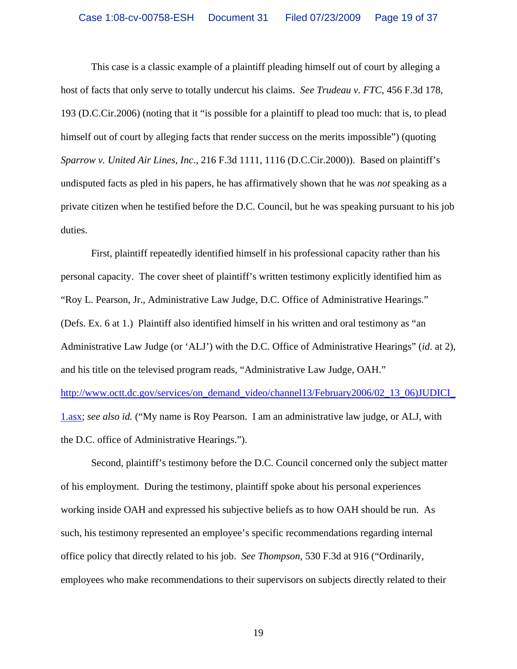This case is a classic example of a plaintiff pleading himself out of court by alleging a host of facts that only serve to totally undercut his claims. *See Trudeau v. FTC*, 456 F.3d 178, 193 (D.C.Cir.2006) (noting that it "is possible for a plaintiff to plead too much: that is, to plead himself out of court by alleging facts that render success on the merits impossible") (quoting *Sparrow v. United Air Lines, Inc*., 216 F.3d 1111, 1116 (D.C.Cir.2000)). Based on plaintiff's undisputed facts as pled in his papers, he has affirmatively shown that he was *not* speaking as a private citizen when he testified before the D.C. Council, but he was speaking pursuant to his job duties.

First, plaintiff repeatedly identified himself in his professional capacity rather than his personal capacity. The cover sheet of plaintiff's written testimony explicitly identified him as "Roy L. Pearson, Jr., Administrative Law Judge, D.C. Office of Administrative Hearings." (Defs. Ex. 6 at 1.) Plaintiff also identified himself in his written and oral testimony as "an Administrative Law Judge (or 'ALJ') with the D.C. Office of Administrative Hearings" (*id.* at 2), and his title on the televised program reads, "Administrative Law Judge, OAH." http://www.octt.dc.gov/services/on\_demand\_video/channel13/February2006/02\_13\_06)JUDICI\_ 1.asx; *see also id.* ("My name is Roy Pearson. I am an administrative law judge, or ALJ, with the D.C. office of Administrative Hearings.").

Second, plaintiff's testimony before the D.C. Council concerned only the subject matter of his employment. During the testimony, plaintiff spoke about his personal experiences working inside OAH and expressed his subjective beliefs as to how OAH should be run. As such, his testimony represented an employee's specific recommendations regarding internal office policy that directly related to his job. *See Thompson*, 530 F.3d at 916 ("Ordinarily, employees who make recommendations to their supervisors on subjects directly related to their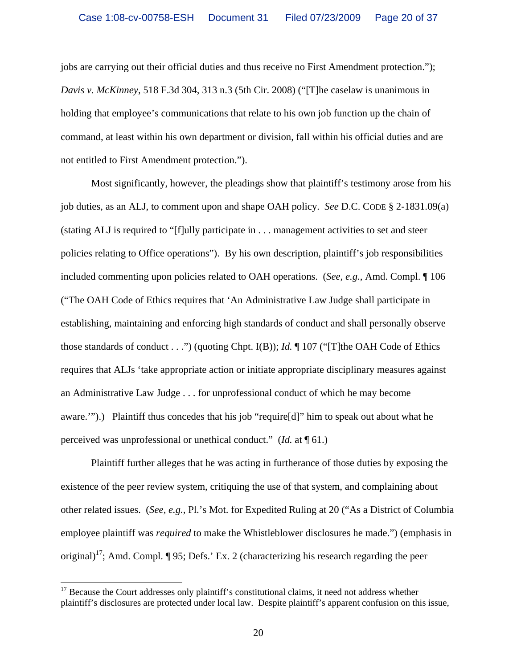jobs are carrying out their official duties and thus receive no First Amendment protection."); *Davis v. McKinney*, 518 F.3d 304, 313 n.3 (5th Cir. 2008) ("[T]he caselaw is unanimous in holding that employee's communications that relate to his own job function up the chain of command, at least within his own department or division, fall within his official duties and are not entitled to First Amendment protection.").

Most significantly, however, the pleadings show that plaintiff's testimony arose from his job duties, as an ALJ, to comment upon and shape OAH policy. *See* D.C. CODE § 2-1831.09(a) (stating ALJ is required to "[f]ully participate in . . . management activities to set and steer policies relating to Office operations"). By his own description, plaintiff's job responsibilities included commenting upon policies related to OAH operations. (*See, e.g.*, Amd. Compl. ¶ 106 ("The OAH Code of Ethics requires that 'An Administrative Law Judge shall participate in establishing, maintaining and enforcing high standards of conduct and shall personally observe those standards of conduct . . .") (quoting Chpt. I(B)); *Id.* ¶ 107 ("[T]the OAH Code of Ethics requires that ALJs 'take appropriate action or initiate appropriate disciplinary measures against an Administrative Law Judge . . . for unprofessional conduct of which he may become aware.'").) Plaintiff thus concedes that his job "require[d]" him to speak out about what he perceived was unprofessional or unethical conduct." (*Id.* at ¶ 61.)

Plaintiff further alleges that he was acting in furtherance of those duties by exposing the existence of the peer review system, critiquing the use of that system, and complaining about other related issues. (*See, e.g.,* Pl.'s Mot. for Expedited Ruling at 20 ("As a District of Columbia employee plaintiff was *required* to make the Whistleblower disclosures he made.") (emphasis in original)<sup>17</sup>; Amd. Compl.  $\P$  95; Defs.' Ex. 2 (characterizing his research regarding the peer

 $17$  Because the Court addresses only plaintiff's constitutional claims, it need not address whether plaintiff's disclosures are protected under local law. Despite plaintiff's apparent confusion on this issue,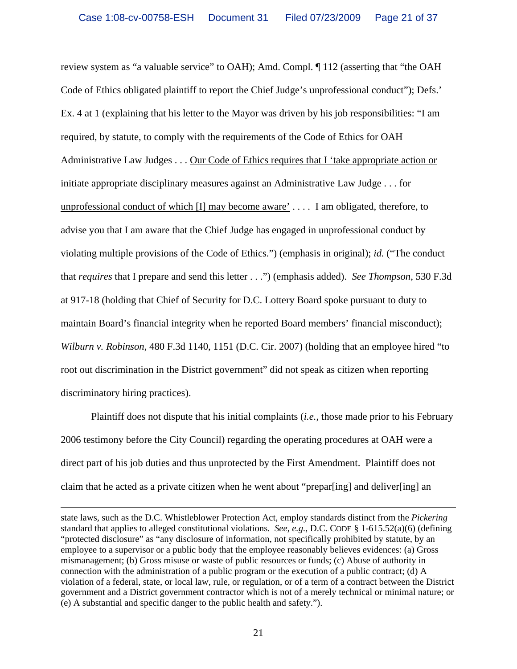review system as "a valuable service" to OAH); Amd. Compl. ¶ 112 (asserting that "the OAH Code of Ethics obligated plaintiff to report the Chief Judge's unprofessional conduct"); Defs.' Ex. 4 at 1 (explaining that his letter to the Mayor was driven by his job responsibilities: "I am required, by statute, to comply with the requirements of the Code of Ethics for OAH Administrative Law Judges . . . Our Code of Ethics requires that I 'take appropriate action or initiate appropriate disciplinary measures against an Administrative Law Judge . . . for unprofessional conduct of which [I] may become aware' . . . . I am obligated, therefore, to advise you that I am aware that the Chief Judge has engaged in unprofessional conduct by violating multiple provisions of the Code of Ethics.") (emphasis in original); *id.* ("The conduct that *requires* that I prepare and send this letter . . .") (emphasis added). *See Thompson*, 530 F.3d at 917-18 (holding that Chief of Security for D.C. Lottery Board spoke pursuant to duty to maintain Board's financial integrity when he reported Board members' financial misconduct); *Wilburn v. Robinson*, 480 F.3d 1140, 1151 (D.C. Cir. 2007) (holding that an employee hired "to root out discrimination in the District government" did not speak as citizen when reporting discriminatory hiring practices).

Plaintiff does not dispute that his initial complaints (*i.e.*, those made prior to his February 2006 testimony before the City Council) regarding the operating procedures at OAH were a direct part of his job duties and thus unprotected by the First Amendment. Plaintiff does not claim that he acted as a private citizen when he went about "prepar[ing] and deliver[ing] an

state laws, such as the D.C. Whistleblower Protection Act, employ standards distinct from the *Pickering* standard that applies to alleged constitutional violations. *See, e.g.,* D.C. CODE § 1-615.52(a)(6) (defining "protected disclosure" as "any disclosure of information, not specifically prohibited by statute, by an employee to a supervisor or a public body that the employee reasonably believes evidences: (a) Gross mismanagement; (b) Gross misuse or waste of public resources or funds; (c) Abuse of authority in connection with the administration of a public program or the execution of a public contract; (d) A violation of a federal, state, or local law, rule, or regulation, or of a term of a contract between the District government and a District government contractor which is not of a merely technical or minimal nature; or (e) A substantial and specific danger to the public health and safety.").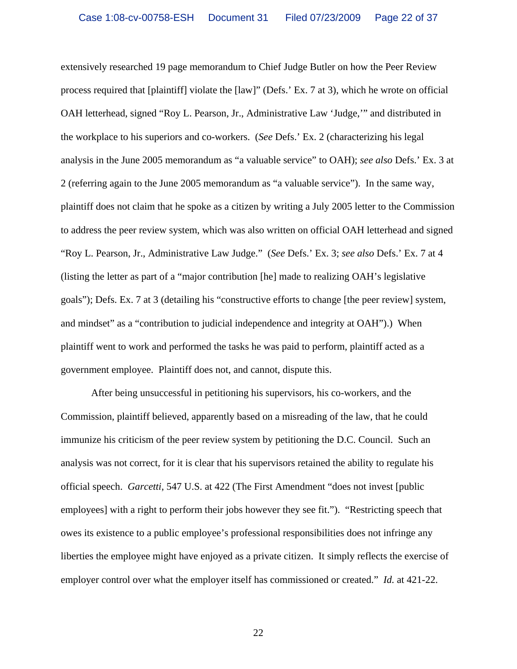extensively researched 19 page memorandum to Chief Judge Butler on how the Peer Review process required that [plaintiff] violate the [law]" (Defs.' Ex. 7 at 3), which he wrote on official OAH letterhead, signed "Roy L. Pearson, Jr., Administrative Law 'Judge,'" and distributed in the workplace to his superiors and co-workers. (*See* Defs.' Ex. 2 (characterizing his legal analysis in the June 2005 memorandum as "a valuable service" to OAH); *see also* Defs.' Ex. 3 at 2 (referring again to the June 2005 memorandum as "a valuable service"). In the same way, plaintiff does not claim that he spoke as a citizen by writing a July 2005 letter to the Commission to address the peer review system, which was also written on official OAH letterhead and signed "Roy L. Pearson, Jr., Administrative Law Judge." (*See* Defs.' Ex. 3; *see also* Defs.' Ex. 7 at 4 (listing the letter as part of a "major contribution [he] made to realizing OAH's legislative goals"); Defs. Ex. 7 at 3 (detailing his "constructive efforts to change [the peer review] system, and mindset" as a "contribution to judicial independence and integrity at OAH").) When plaintiff went to work and performed the tasks he was paid to perform, plaintiff acted as a government employee. Plaintiff does not, and cannot, dispute this.

After being unsuccessful in petitioning his supervisors, his co-workers, and the Commission, plaintiff believed, apparently based on a misreading of the law, that he could immunize his criticism of the peer review system by petitioning the D.C. Council. Such an analysis was not correct, for it is clear that his supervisors retained the ability to regulate his official speech. *Garcetti*, 547 U.S. at 422 (The First Amendment "does not invest [public employees] with a right to perform their jobs however they see fit."). "Restricting speech that owes its existence to a public employee's professional responsibilities does not infringe any liberties the employee might have enjoyed as a private citizen. It simply reflects the exercise of employer control over what the employer itself has commissioned or created." *Id.* at 421-22.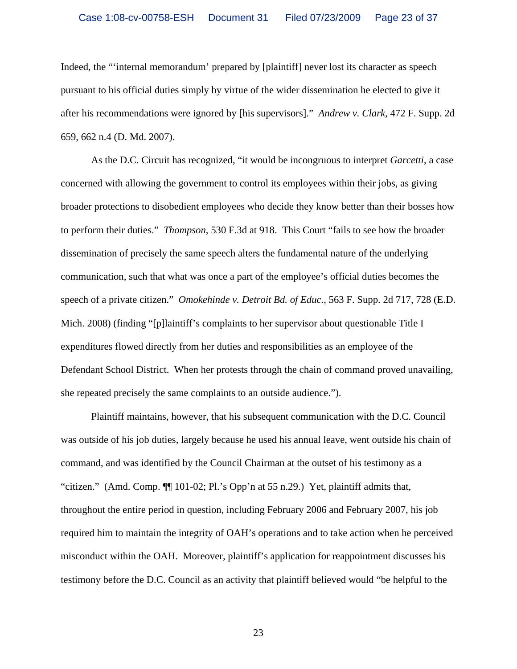Indeed, the "'internal memorandum' prepared by [plaintiff] never lost its character as speech pursuant to his official duties simply by virtue of the wider dissemination he elected to give it after his recommendations were ignored by [his supervisors]." *Andrew v. Clark*, 472 F. Supp. 2d 659, 662 n.4 (D. Md. 2007).

As the D.C. Circuit has recognized, "it would be incongruous to interpret *Garcetti*, a case concerned with allowing the government to control its employees within their jobs, as giving broader protections to disobedient employees who decide they know better than their bosses how to perform their duties." *Thompson*, 530 F.3d at 918. This Court "fails to see how the broader dissemination of precisely the same speech alters the fundamental nature of the underlying communication, such that what was once a part of the employee's official duties becomes the speech of a private citizen." *Omokehinde v. Detroit Bd. of Educ.*, 563 F. Supp. 2d 717, 728 (E.D. Mich. 2008) (finding "[p]laintiff's complaints to her supervisor about questionable Title I expenditures flowed directly from her duties and responsibilities as an employee of the Defendant School District. When her protests through the chain of command proved unavailing, she repeated precisely the same complaints to an outside audience.").

Plaintiff maintains, however, that his subsequent communication with the D.C. Council was outside of his job duties, largely because he used his annual leave, went outside his chain of command, and was identified by the Council Chairman at the outset of his testimony as a "citizen." (Amd. Comp. ¶¶ 101-02; Pl.'s Opp'n at 55 n.29.) Yet, plaintiff admits that, throughout the entire period in question, including February 2006 and February 2007, his job required him to maintain the integrity of OAH's operations and to take action when he perceived misconduct within the OAH. Moreover, plaintiff's application for reappointment discusses his testimony before the D.C. Council as an activity that plaintiff believed would "be helpful to the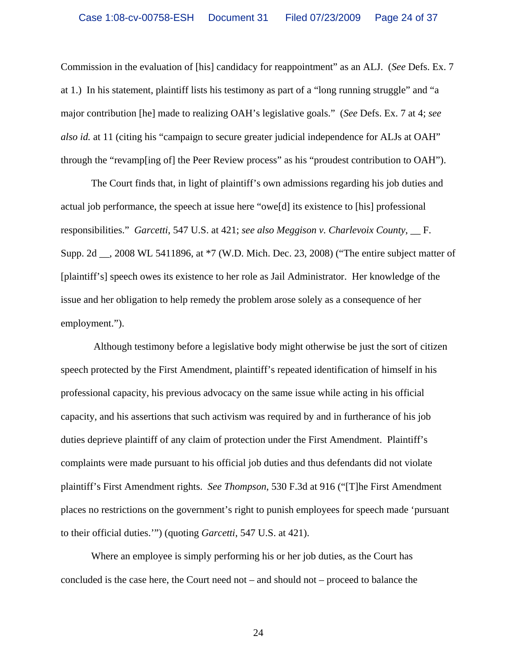Commission in the evaluation of [his] candidacy for reappointment" as an ALJ. (*See* Defs. Ex. 7 at 1.) In his statement, plaintiff lists his testimony as part of a "long running struggle" and "a major contribution [he] made to realizing OAH's legislative goals." (*See* Defs. Ex. 7 at 4; *see also id.* at 11 (citing his "campaign to secure greater judicial independence for ALJs at OAH" through the "revamp[ing of] the Peer Review process" as his "proudest contribution to OAH").

 The Court finds that, in light of plaintiff's own admissions regarding his job duties and actual job performance, the speech at issue here "owe[d] its existence to [his] professional responsibilities." *Garcetti*, 547 U.S. at 421; *see also Meggison v. Charlevoix County*, \_\_ F. Supp. 2d \_\_, 2008 WL 5411896, at \*7 (W.D. Mich. Dec. 23, 2008) ("The entire subject matter of [plaintiff's] speech owes its existence to her role as Jail Administrator. Her knowledge of the issue and her obligation to help remedy the problem arose solely as a consequence of her employment.").

 Although testimony before a legislative body might otherwise be just the sort of citizen speech protected by the First Amendment, plaintiff's repeated identification of himself in his professional capacity, his previous advocacy on the same issue while acting in his official capacity, and his assertions that such activism was required by and in furtherance of his job duties deprieve plaintiff of any claim of protection under the First Amendment. Plaintiff's complaints were made pursuant to his official job duties and thus defendants did not violate plaintiff's First Amendment rights. *See Thompson*, 530 F.3d at 916 ("[T]he First Amendment places no restrictions on the government's right to punish employees for speech made 'pursuant to their official duties.'") (quoting *Garcetti*, 547 U.S. at 421).

 Where an employee is simply performing his or her job duties, as the Court has concluded is the case here, the Court need not – and should not – proceed to balance the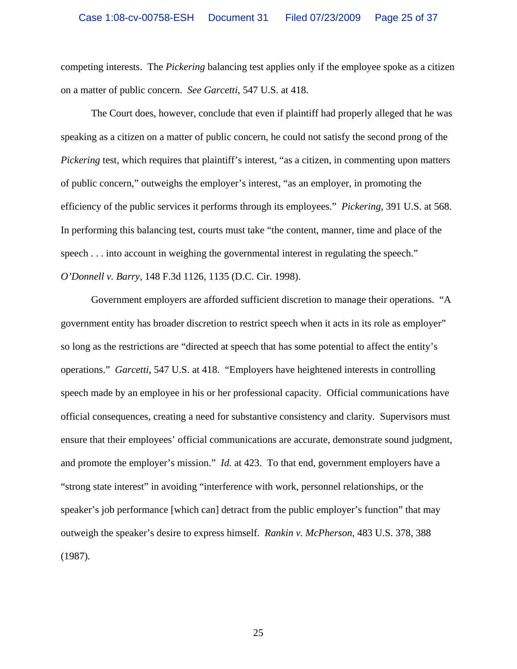competing interests. The *Pickering* balancing test applies only if the employee spoke as a citizen on a matter of public concern. *See Garcetti*, 547 U.S. at 418.

The Court does, however, conclude that even if plaintiff had properly alleged that he was speaking as a citizen on a matter of public concern, he could not satisfy the second prong of the *Pickering* test, which requires that plaintiff's interest, "as a citizen, in commenting upon matters of public concern," outweighs the employer's interest, "as an employer, in promoting the efficiency of the public services it performs through its employees." *Pickering*, 391 U.S. at 568. In performing this balancing test, courts must take "the content, manner, time and place of the speech . . . into account in weighing the governmental interest in regulating the speech." *O'Donnell v. Barry*, 148 F.3d 1126, 1135 (D.C. Cir. 1998).

Government employers are afforded sufficient discretion to manage their operations. "A government entity has broader discretion to restrict speech when it acts in its role as employer" so long as the restrictions are "directed at speech that has some potential to affect the entity's operations." *Garcetti*, 547 U.S. at 418. "Employers have heightened interests in controlling speech made by an employee in his or her professional capacity. Official communications have official consequences, creating a need for substantive consistency and clarity. Supervisors must ensure that their employees' official communications are accurate, demonstrate sound judgment, and promote the employer's mission." *Id.* at 423. To that end, government employers have a "strong state interest" in avoiding "interference with work, personnel relationships, or the speaker's job performance [which can] detract from the public employer's function" that may outweigh the speaker's desire to express himself. *Rankin v. McPherson*, 483 U.S. 378, 388 (1987)*.*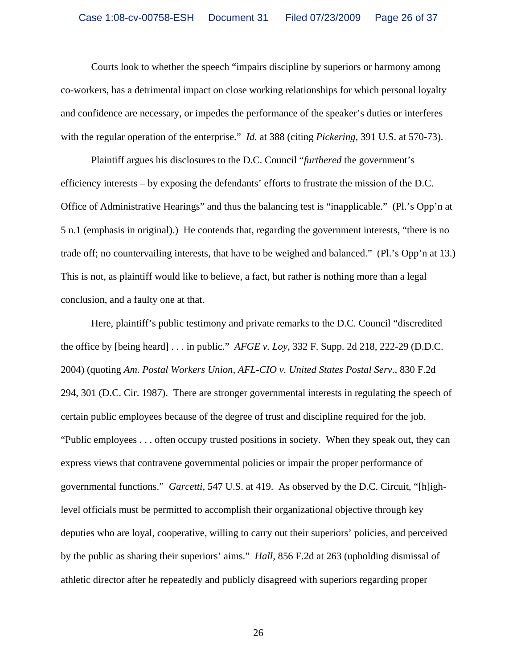Courts look to whether the speech "impairs discipline by superiors or harmony among co-workers, has a detrimental impact on close working relationships for which personal loyalty and confidence are necessary, or impedes the performance of the speaker's duties or interferes with the regular operation of the enterprise." *Id.* at 388 (citing *Pickering*, 391 U.S. at 570-73).

Plaintiff argues his disclosures to the D.C. Council "*furthered* the government's efficiency interests – by exposing the defendants' efforts to frustrate the mission of the D.C. Office of Administrative Hearings" and thus the balancing test is "inapplicable." (Pl.'s Opp'n at 5 n.1 (emphasis in original).) He contends that, regarding the government interests, "there is no trade off; no countervailing interests, that have to be weighed and balanced." (Pl.'s Opp'n at 13.) This is not, as plaintiff would like to believe, a fact, but rather is nothing more than a legal conclusion, and a faulty one at that.

Here, plaintiff's public testimony and private remarks to the D.C. Council "discredited the office by [being heard] . . . in public." *AFGE v. Loy*, 332 F. Supp. 2d 218, 222-29 (D.D.C. 2004) (quoting *Am. Postal Workers Union, AFL-CIO v. United States Postal Serv.*, 830 F.2d 294, 301 (D.C. Cir. 1987). There are stronger governmental interests in regulating the speech of certain public employees because of the degree of trust and discipline required for the job. "Public employees . . . often occupy trusted positions in society. When they speak out, they can express views that contravene governmental policies or impair the proper performance of governmental functions." *Garcetti*, 547 U.S. at 419. As observed by the D.C. Circuit, "[h]ighlevel officials must be permitted to accomplish their organizational objective through key deputies who are loyal, cooperative, willing to carry out their superiors' policies, and perceived by the public as sharing their superiors' aims." *Hall*, 856 F.2d at 263 (upholding dismissal of athletic director after he repeatedly and publicly disagreed with superiors regarding proper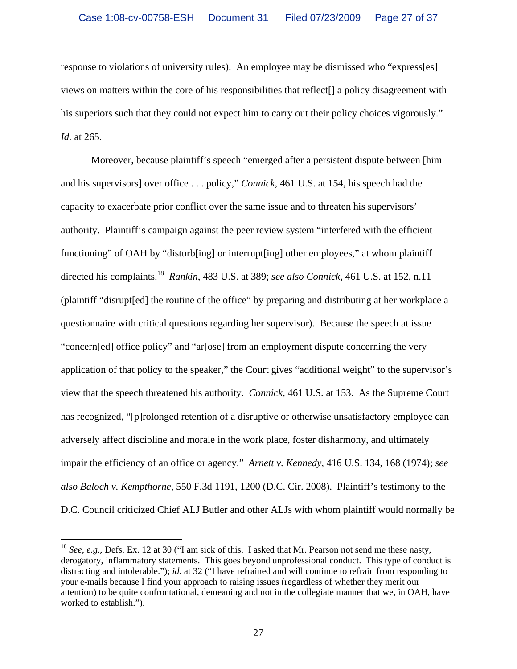response to violations of university rules). An employee may be dismissed who "express[es] views on matters within the core of his responsibilities that reflect[] a policy disagreement with his superiors such that they could not expect him to carry out their policy choices vigorously." *Id.* at 265.

Moreover, because plaintiff's speech "emerged after a persistent dispute between [him and his supervisors] over office . . . policy," *Connick*, 461 U.S. at 154, his speech had the capacity to exacerbate prior conflict over the same issue and to threaten his supervisors' authority. Plaintiff's campaign against the peer review system "interfered with the efficient functioning" of OAH by "disturb[ing] or interrupt[ing] other employees," at whom plaintiff directed his complaints.18 *Rankin*, 483 U.S. at 389; *see also Connick*, 461 U.S. at 152, n.11 (plaintiff "disrupt[ed] the routine of the office" by preparing and distributing at her workplace a questionnaire with critical questions regarding her supervisor). Because the speech at issue "concern[ed] office policy" and "ar[ose] from an employment dispute concerning the very application of that policy to the speaker," the Court gives "additional weight" to the supervisor's view that the speech threatened his authority. *Connick*, 461 U.S. at 153. As the Supreme Court has recognized, "[p]rolonged retention of a disruptive or otherwise unsatisfactory employee can adversely affect discipline and morale in the work place, foster disharmony, and ultimately impair the efficiency of an office or agency." *Arnett v. Kennedy*, 416 U.S. 134, 168 (1974); *see also Baloch v. Kempthorne*, 550 F.3d 1191, 1200 (D.C. Cir. 2008). Plaintiff's testimony to the D.C. Council criticized Chief ALJ Butler and other ALJs with whom plaintiff would normally be

<sup>18</sup> *See, e.g.,* Defs. Ex. 12 at 30 ("I am sick of this. I asked that Mr. Pearson not send me these nasty, derogatory, inflammatory statements. This goes beyond unprofessional conduct. This type of conduct is distracting and intolerable."); *id.* at 32 ("I have refrained and will continue to refrain from responding to your e-mails because I find your approach to raising issues (regardless of whether they merit our attention) to be quite confrontational, demeaning and not in the collegiate manner that we, in OAH, have worked to establish.").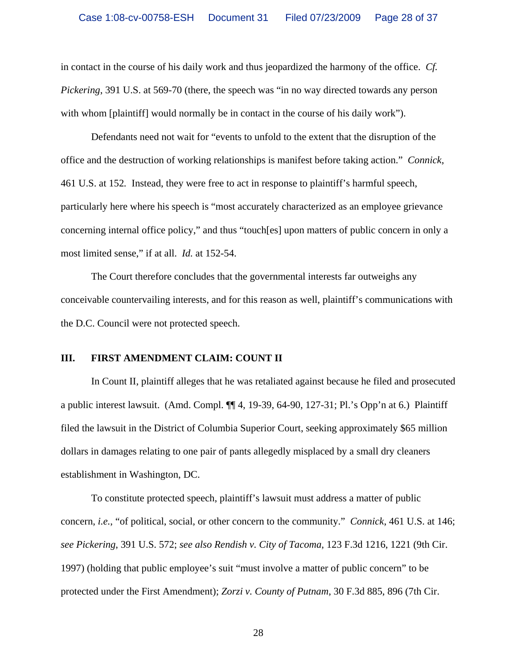in contact in the course of his daily work and thus jeopardized the harmony of the office. *Cf. Pickering*, 391 U.S. at 569-70 (there, the speech was "in no way directed towards any person with whom [plaintiff] would normally be in contact in the course of his daily work").

Defendants need not wait for "events to unfold to the extent that the disruption of the office and the destruction of working relationships is manifest before taking action." *Connick*, 461 U.S. at 152*.* Instead, they were free to act in response to plaintiff's harmful speech, particularly here where his speech is "most accurately characterized as an employee grievance concerning internal office policy," and thus "touch[es] upon matters of public concern in only a most limited sense," if at all. *Id.* at 152-54.

The Court therefore concludes that the governmental interests far outweighs any conceivable countervailing interests, and for this reason as well, plaintiff's communications with the D.C. Council were not protected speech.

#### **III. FIRST AMENDMENT CLAIM: COUNT II**

In Count II, plaintiff alleges that he was retaliated against because he filed and prosecuted a public interest lawsuit. (Amd. Compl. ¶¶ 4, 19-39, 64-90, 127-31; Pl.'s Opp'n at 6.) Plaintiff filed the lawsuit in the District of Columbia Superior Court, seeking approximately \$65 million dollars in damages relating to one pair of pants allegedly misplaced by a small dry cleaners establishment in Washington, DC.

To constitute protected speech, plaintiff's lawsuit must address a matter of public concern, *i.e.*, "of political, social, or other concern to the community." *Connick*, 461 U.S. at 146; *see Pickering*, 391 U.S. 572; *see also Rendish v. City of Tacoma*, 123 F.3d 1216, 1221 (9th Cir. 1997) (holding that public employee's suit "must involve a matter of public concern" to be protected under the First Amendment); *Zorzi v. County of Putnam*, 30 F.3d 885, 896 (7th Cir.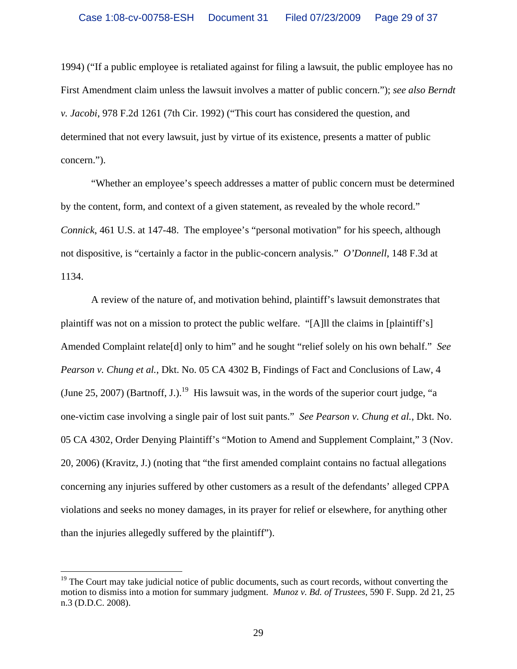1994) ("If a public employee is retaliated against for filing a lawsuit, the public employee has no First Amendment claim unless the lawsuit involves a matter of public concern."); *see also Berndt v. Jacobi*, 978 F.2d 1261 (7th Cir. 1992) ("This court has considered the question, and determined that not every lawsuit, just by virtue of its existence, presents a matter of public concern.").

"Whether an employee's speech addresses a matter of public concern must be determined by the content, form, and context of a given statement, as revealed by the whole record." *Connick*, 461 U.S. at 147-48. The employee's "personal motivation" for his speech, although not dispositive, is "certainly a factor in the public-concern analysis." *O'Donnell*, 148 F.3d at 1134.

A review of the nature of, and motivation behind, plaintiff's lawsuit demonstrates that plaintiff was not on a mission to protect the public welfare. "[A]ll the claims in [plaintiff's] Amended Complaint relate[d] only to him" and he sought "relief solely on his own behalf." *See Pearson v. Chung et al.*, Dkt. No. 05 CA 4302 B, Findings of Fact and Conclusions of Law, 4 (June 25, 2007) (Bartnoff, J.).<sup>19</sup> His lawsuit was, in the words of the superior court judge, "a one-victim case involving a single pair of lost suit pants." *See Pearson v. Chung et al.*, Dkt. No. 05 CA 4302, Order Denying Plaintiff's "Motion to Amend and Supplement Complaint," 3 (Nov. 20, 2006) (Kravitz, J.) (noting that "the first amended complaint contains no factual allegations concerning any injuries suffered by other customers as a result of the defendants' alleged CPPA violations and seeks no money damages, in its prayer for relief or elsewhere, for anything other than the injuries allegedly suffered by the plaintiff").

 $19$  The Court may take judicial notice of public documents, such as court records, without converting the motion to dismiss into a motion for summary judgment. *Munoz v. Bd. of Trustees*, 590 F. Supp. 2d 21, 25 n.3 (D.D.C. 2008).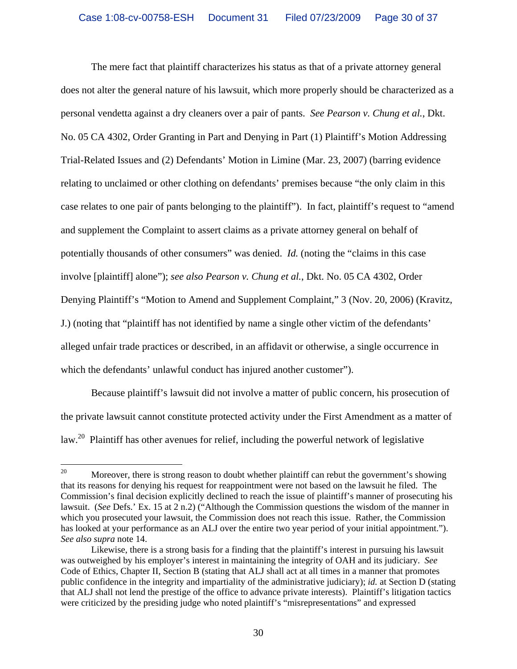The mere fact that plaintiff characterizes his status as that of a private attorney general does not alter the general nature of his lawsuit, which more properly should be characterized as a personal vendetta against a dry cleaners over a pair of pants. *See Pearson v. Chung et al.*, Dkt. No. 05 CA 4302, Order Granting in Part and Denying in Part (1) Plaintiff's Motion Addressing Trial-Related Issues and (2) Defendants' Motion in Limine (Mar. 23, 2007) (barring evidence relating to unclaimed or other clothing on defendants' premises because "the only claim in this case relates to one pair of pants belonging to the plaintiff"). In fact, plaintiff's request to "amend and supplement the Complaint to assert claims as a private attorney general on behalf of potentially thousands of other consumers" was denied. *Id.* (noting the "claims in this case involve [plaintiff] alone"); *see also Pearson v. Chung et al.*, Dkt. No. 05 CA 4302, Order Denying Plaintiff's "Motion to Amend and Supplement Complaint," 3 (Nov. 20, 2006) (Kravitz, J.) (noting that "plaintiff has not identified by name a single other victim of the defendants' alleged unfair trade practices or described, in an affidavit or otherwise, a single occurrence in which the defendants' unlawful conduct has injured another customer").

Because plaintiff's lawsuit did not involve a matter of public concern, his prosecution of the private lawsuit cannot constitute protected activity under the First Amendment as a matter of law.<sup>20</sup> Plaintiff has other avenues for relief, including the powerful network of legislative

<sup>20</sup> Moreover, there is strong reason to doubt whether plaintiff can rebut the government's showing that its reasons for denying his request for reappointment were not based on the lawsuit he filed. The Commission's final decision explicitly declined to reach the issue of plaintiff's manner of prosecuting his lawsuit. (*See* Defs.' Ex. 15 at 2 n.2) ("Although the Commission questions the wisdom of the manner in which you prosecuted your lawsuit, the Commission does not reach this issue. Rather, the Commission has looked at your performance as an ALJ over the entire two year period of your initial appointment."). *See also supra* note 14.

Likewise, there is a strong basis for a finding that the plaintiff's interest in pursuing his lawsuit was outweighed by his employer's interest in maintaining the integrity of OAH and its judiciary. *See*  Code of Ethics, Chapter II, Section B (stating that ALJ shall act at all times in a manner that promotes public confidence in the integrity and impartiality of the administrative judiciary); *id.* at Section D (stating that ALJ shall not lend the prestige of the office to advance private interests). Plaintiff's litigation tactics were criticized by the presiding judge who noted plaintiff's "misrepresentations" and expressed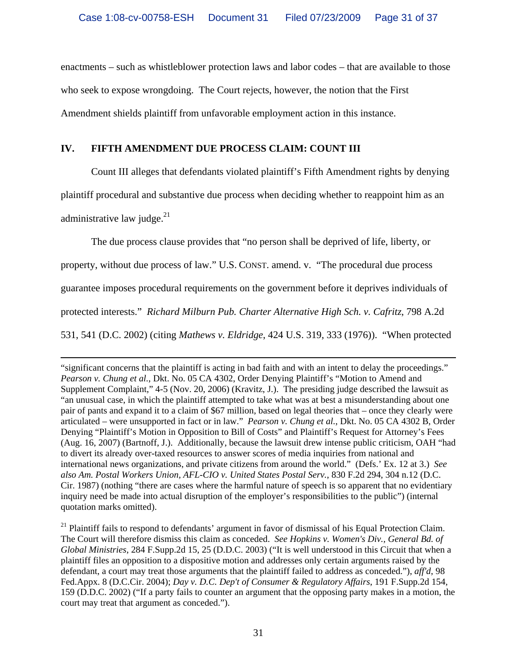enactments – such as whistleblower protection laws and labor codes – that are available to those who seek to expose wrongdoing. The Court rejects, however, the notion that the First Amendment shields plaintiff from unfavorable employment action in this instance.

# **IV. FIFTH AMENDMENT DUE PROCESS CLAIM: COUNT III**

Count III alleges that defendants violated plaintiff's Fifth Amendment rights by denying

plaintiff procedural and substantive due process when deciding whether to reappoint him as an

administrative law judge. $^{21}$ 

The due process clause provides that "no person shall be deprived of life, liberty, or

property, without due process of law." U.S. CONST. amend. v. "The procedural due process

guarantee imposes procedural requirements on the government before it deprives individuals of

protected interests." *Richard Milburn Pub. Charter Alternative High Sch. v. Cafritz*, 798 A.2d

531, 541 (D.C. 2002) (citing *Mathews v. Eldridge*, 424 U.S. 319, 333 (1976)). "When protected

 $\overline{a}$ "significant concerns that the plaintiff is acting in bad faith and with an intent to delay the proceedings." *Pearson v. Chung et al.*, Dkt. No. 05 CA 4302, Order Denying Plaintiff's "Motion to Amend and Supplement Complaint," 4-5 (Nov. 20, 2006) (Kravitz, J.). The presiding judge described the lawsuit as "an unusual case, in which the plaintiff attempted to take what was at best a misunderstanding about one pair of pants and expand it to a claim of \$67 million, based on legal theories that – once they clearly were articulated – were unsupported in fact or in law." *Pearson v. Chung et al.*, Dkt. No. 05 CA 4302 B, Order Denying "Plaintiff's Motion in Opposition to Bill of Costs" and Plaintiff's Request for Attorney's Fees (Aug. 16, 2007) (Bartnoff, J.). Additionally, because the lawsuit drew intense public criticism, OAH "had to divert its already over-taxed resources to answer scores of media inquiries from national and international news organizations, and private citizens from around the world." (Defs.' Ex. 12 at 3.) *See also Am. Postal Workers Union, AFL-CIO v. United States Postal Serv.*, 830 F.2d 294, 304 n.12 (D.C. Cir. 1987) (nothing "there are cases where the harmful nature of speech is so apparent that no evidentiary inquiry need be made into actual disruption of the employer's responsibilities to the public") (internal quotation marks omitted).

<sup>21</sup> Plaintiff fails to respond to defendants' argument in favor of dismissal of his Equal Protection Claim. The Court will therefore dismiss this claim as conceded. *See Hopkins v. Women's Div., General Bd. of Global Ministries*, 284 F.Supp.2d 15, 25 (D.D.C. 2003) ("It is well understood in this Circuit that when a plaintiff files an opposition to a dispositive motion and addresses only certain arguments raised by the defendant, a court may treat those arguments that the plaintiff failed to address as conceded."), *aff'd*, 98 Fed.Appx. 8 (D.C.Cir. 2004); *Day v. D.C. Dep't of Consumer & Regulatory Affairs*, 191 F.Supp.2d 154, 159 (D.D.C. 2002) ("If a party fails to counter an argument that the opposing party makes in a motion, the court may treat that argument as conceded.").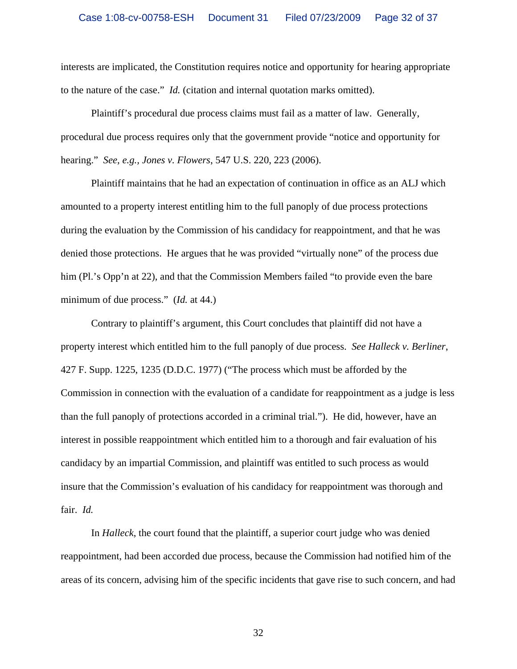interests are implicated, the Constitution requires notice and opportunity for hearing appropriate to the nature of the case." *Id.* (citation and internal quotation marks omitted).

Plaintiff's procedural due process claims must fail as a matter of law. Generally, procedural due process requires only that the government provide "notice and opportunity for hearing." *See, e.g., Jones v. Flowers*, 547 U.S. 220, 223 (2006).

Plaintiff maintains that he had an expectation of continuation in office as an ALJ which amounted to a property interest entitling him to the full panoply of due process protections during the evaluation by the Commission of his candidacy for reappointment, and that he was denied those protections. He argues that he was provided "virtually none" of the process due him (Pl.'s Opp'n at 22), and that the Commission Members failed "to provide even the bare minimum of due process." (*Id.* at 44.)

Contrary to plaintiff's argument, this Court concludes that plaintiff did not have a property interest which entitled him to the full panoply of due process. *See Halleck v. Berliner*, 427 F. Supp. 1225, 1235 (D.D.C. 1977) ("The process which must be afforded by the Commission in connection with the evaluation of a candidate for reappointment as a judge is less than the full panoply of protections accorded in a criminal trial."). He did, however, have an interest in possible reappointment which entitled him to a thorough and fair evaluation of his candidacy by an impartial Commission, and plaintiff was entitled to such process as would insure that the Commission's evaluation of his candidacy for reappointment was thorough and fair. *Id.*

In *Halleck*, the court found that the plaintiff, a superior court judge who was denied reappointment, had been accorded due process, because the Commission had notified him of the areas of its concern, advising him of the specific incidents that gave rise to such concern, and had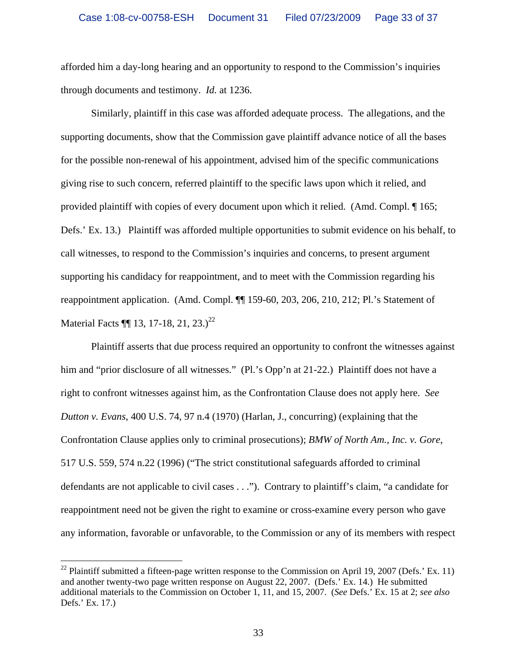afforded him a day-long hearing and an opportunity to respond to the Commission's inquiries through documents and testimony. *Id.* at 1236.

Similarly, plaintiff in this case was afforded adequate process. The allegations, and the supporting documents, show that the Commission gave plaintiff advance notice of all the bases for the possible non-renewal of his appointment, advised him of the specific communications giving rise to such concern, referred plaintiff to the specific laws upon which it relied, and provided plaintiff with copies of every document upon which it relied. (Amd. Compl. ¶ 165; Defs.' Ex. 13.) Plaintiff was afforded multiple opportunities to submit evidence on his behalf, to call witnesses, to respond to the Commission's inquiries and concerns, to present argument supporting his candidacy for reappointment, and to meet with the Commission regarding his reappointment application. (Amd. Compl. ¶¶ 159-60, 203, 206, 210, 212; Pl.'s Statement of Material Facts  $\P\P$  13, 17-18, 21, 23.)<sup>22</sup>

Plaintiff asserts that due process required an opportunity to confront the witnesses against him and "prior disclosure of all witnesses." (Pl.'s Opp'n at 21-22.) Plaintiff does not have a right to confront witnesses against him, as the Confrontation Clause does not apply here. *See Dutton v. Evans*, 400 U.S. 74, 97 n.4 (1970) (Harlan, J., concurring) (explaining that the Confrontation Clause applies only to criminal prosecutions); *BMW of North Am., Inc. v. Gore*, 517 U.S. 559, 574 n.22 (1996) ("The strict constitutional safeguards afforded to criminal defendants are not applicable to civil cases . . ."). Contrary to plaintiff's claim, "a candidate for reappointment need not be given the right to examine or cross-examine every person who gave any information, favorable or unfavorable, to the Commission or any of its members with respect

<sup>&</sup>lt;sup>22</sup> Plaintiff submitted a fifteen-page written response to the Commission on April 19, 2007 (Defs.' Ex. 11) and another twenty-two page written response on August 22, 2007. (Defs.' Ex. 14.) He submitted additional materials to the Commission on October 1, 11, and 15, 2007. (*See* Defs.' Ex. 15 at 2; *see also*  Defs.' Ex. 17.)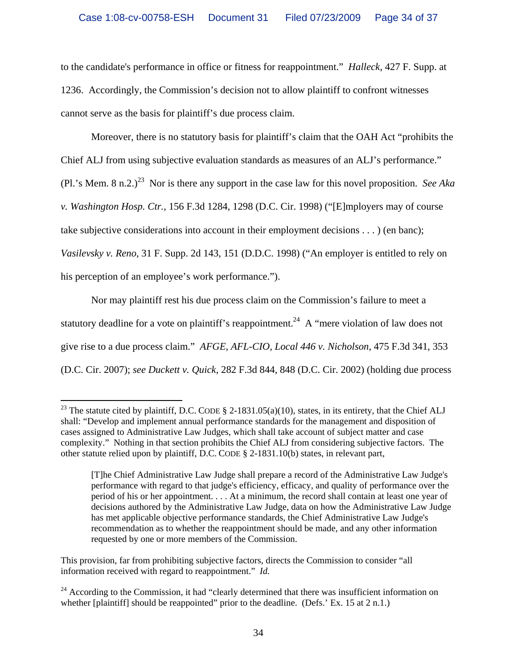to the candidate's performance in office or fitness for reappointment." *Halleck*, 427 F. Supp. at 1236. Accordingly, the Commission's decision not to allow plaintiff to confront witnesses cannot serve as the basis for plaintiff's due process claim.

Moreover, there is no statutory basis for plaintiff's claim that the OAH Act "prohibits the Chief ALJ from using subjective evaluation standards as measures of an ALJ's performance." (Pl.'s Mem. 8 n.2.)<sup>23</sup> Nor is there any support in the case law for this novel proposition. *See Aka v. Washington Hosp. Ctr.*, 156 F.3d 1284, 1298 (D.C. Cir. 1998) ("[E]mployers may of course take subjective considerations into account in their employment decisions . . . ) (en banc); *Vasilevsky v. Reno*, 31 F. Supp. 2d 143, 151 (D.D.C. 1998) ("An employer is entitled to rely on his perception of an employee's work performance.").

Nor may plaintiff rest his due process claim on the Commission's failure to meet a statutory deadline for a vote on plaintiff's reappointment.<sup>24</sup> A "mere violation of law does not give rise to a due process claim." *AFGE, AFL-CIO, Local 446 v. Nicholson*, 475 F.3d 341, 353 (D.C. Cir. 2007); *see Duckett v. Quick*, 282 F.3d 844, 848 (D.C. Cir. 2002) (holding due process

<u>.</u>

<sup>&</sup>lt;sup>23</sup> The statute cited by plaintiff, D.C. CODE  $\S$  2-1831.05(a)(10), states, in its entirety, that the Chief ALJ shall: "Develop and implement annual performance standards for the management and disposition of cases assigned to Administrative Law Judges, which shall take account of subject matter and case complexity." Nothing in that section prohibits the Chief ALJ from considering subjective factors. The other statute relied upon by plaintiff, D.C. CODE § 2-1831.10(b) states, in relevant part,

<sup>[</sup>T]he Chief Administrative Law Judge shall prepare a record of the Administrative Law Judge's performance with regard to that judge's efficiency, efficacy, and quality of performance over the period of his or her appointment. . . . At a minimum, the record shall contain at least one year of decisions authored by the Administrative Law Judge, data on how the Administrative Law Judge has met applicable objective performance standards, the Chief Administrative Law Judge's recommendation as to whether the reappointment should be made, and any other information requested by one or more members of the Commission.

This provision, far from prohibiting subjective factors, directs the Commission to consider "all information received with regard to reappointment." *Id.*

<sup>&</sup>lt;sup>24</sup> According to the Commission, it had "clearly determined that there was insufficient information on whether [plaintiff] should be reappointed" prior to the deadline. (Defs.' Ex. 15 at 2 n.1.)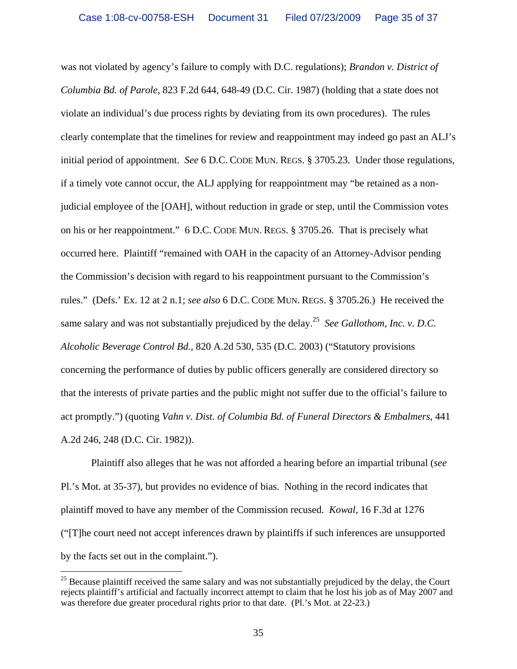was not violated by agency's failure to comply with D.C. regulations); *Brandon v. District of Columbia Bd. of Parole*, 823 F.2d 644, 648-49 (D.C. Cir. 1987) (holding that a state does not violate an individual's due process rights by deviating from its own procedures). The rules clearly contemplate that the timelines for review and reappointment may indeed go past an ALJ's initial period of appointment. *See* 6 D.C. CODE MUN. REGS. § 3705.23. Under those regulations, if a timely vote cannot occur, the ALJ applying for reappointment may "be retained as a nonjudicial employee of the [OAH], without reduction in grade or step, until the Commission votes on his or her reappointment." 6 D.C. CODE MUN. REGS. § 3705.26. That is precisely what occurred here. Plaintiff "remained with OAH in the capacity of an Attorney-Advisor pending the Commission's decision with regard to his reappointment pursuant to the Commission's rules." (Defs.' Ex. 12 at 2 n.1; *see also* 6 D.C. CODE MUN. REGS. § 3705.26.) He received the same salary and was not substantially prejudiced by the delay.<sup>25</sup> *See Gallothom, Inc. v. D.C. Alcoholic Beverage Control Bd.*, 820 A.2d 530, 535 (D.C. 2003) ("Statutory provisions concerning the performance of duties by public officers generally are considered directory so that the interests of private parties and the public might not suffer due to the official's failure to act promptly.") (quoting *Vahn v. Dist. of Columbia Bd. of Funeral Directors & Embalmers*, 441 A.2d 246, 248 (D.C. Cir. 1982)).

 Plaintiff also alleges that he was not afforded a hearing before an impartial tribunal (*see*  Pl.'s Mot. at 35-37), but provides no evidence of bias. Nothing in the record indicates that plaintiff moved to have any member of the Commission recused. *Kowal*, 16 F.3d at 1276 ("[T]he court need not accept inferences drawn by plaintiffs if such inferences are unsupported by the facts set out in the complaint.").

 $25$  Because plaintiff received the same salary and was not substantially prejudiced by the delay, the Court rejects plaintiff's artificial and factually incorrect attempt to claim that he lost his job as of May 2007 and was therefore due greater procedural rights prior to that date. (Pl.'s Mot. at 22-23.)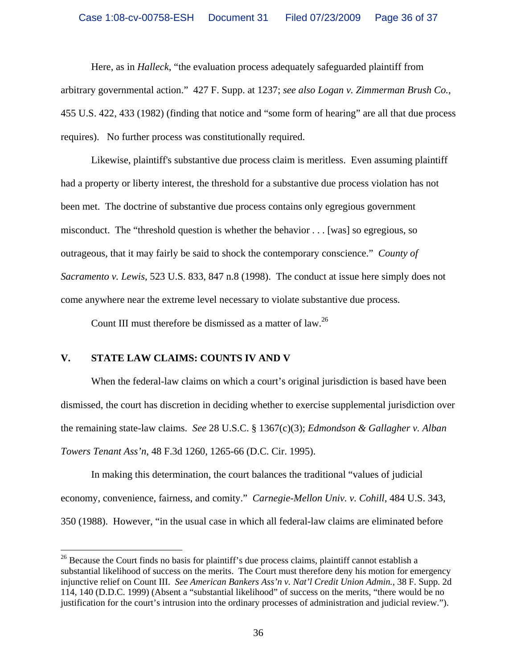Here, as in *Halleck*, "the evaluation process adequately safeguarded plaintiff from arbitrary governmental action." 427 F. Supp. at 1237; *see also Logan v. Zimmerman Brush Co.*, 455 U.S. 422, 433 (1982) (finding that notice and "some form of hearing" are all that due process requires). No further process was constitutionally required.

Likewise, plaintiff's substantive due process claim is meritless. Even assuming plaintiff had a property or liberty interest, the threshold for a substantive due process violation has not been met. The doctrine of substantive due process contains only egregious government misconduct. The "threshold question is whether the behavior . . . [was] so egregious, so outrageous, that it may fairly be said to shock the contemporary conscience." *County of Sacramento v. Lewis*, 523 U.S. 833, 847 n.8 (1998). The conduct at issue here simply does not come anywhere near the extreme level necessary to violate substantive due process.

Count III must therefore be dismissed as a matter of law.<sup>26</sup>

## **V. STATE LAW CLAIMS: COUNTS IV AND V**

 $\overline{a}$ 

When the federal-law claims on which a court's original jurisdiction is based have been dismissed, the court has discretion in deciding whether to exercise supplemental jurisdiction over the remaining state-law claims. *See* 28 U.S.C. § 1367(c)(3); *Edmondson & Gallagher v. Alban Towers Tenant Ass'n*, 48 F.3d 1260, 1265-66 (D.C. Cir. 1995).

In making this determination, the court balances the traditional "values of judicial economy, convenience, fairness, and comity." *Carnegie-Mellon Univ. v. Cohill*, 484 U.S. 343, 350 (1988). However, "in the usual case in which all federal-law claims are eliminated before

<sup>&</sup>lt;sup>26</sup> Because the Court finds no basis for plaintiff's due process claims, plaintiff cannot establish a substantial likelihood of success on the merits. The Court must therefore deny his motion for emergency injunctive relief on Count III. *See American Bankers Ass'n v. Nat'l Credit Union Admin.*, 38 F. Supp. 2d 114, 140 (D.D.C. 1999) (Absent a "substantial likelihood" of success on the merits, "there would be no justification for the court's intrusion into the ordinary processes of administration and judicial review.").